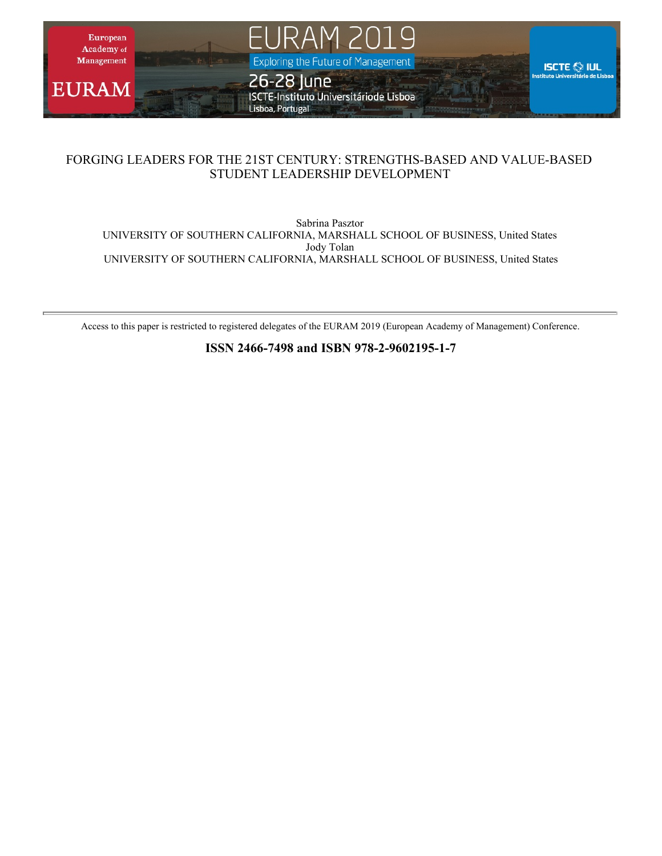

# FORGING LEADERS FOR THE 21ST CENTURY: STRENGTHS-BASED AND VALUE-BASED STUDENT LEADERSHIP DEVELOPMENT

Sabrina Pasztor UNIVERSITY OF SOUTHERN CALIFORNIA, MARSHALL SCHOOL OF BUSINESS, United States Jody Tolan UNIVERSITY OF SOUTHERN CALIFORNIA, MARSHALL SCHOOL OF BUSINESS, United States

Access to this paper is restricted to registered delegates of the EURAM 2019 (European Academy of Management) Conference.

**ISSN 2466-7498 and ISBN 978-2-9602195-1-7**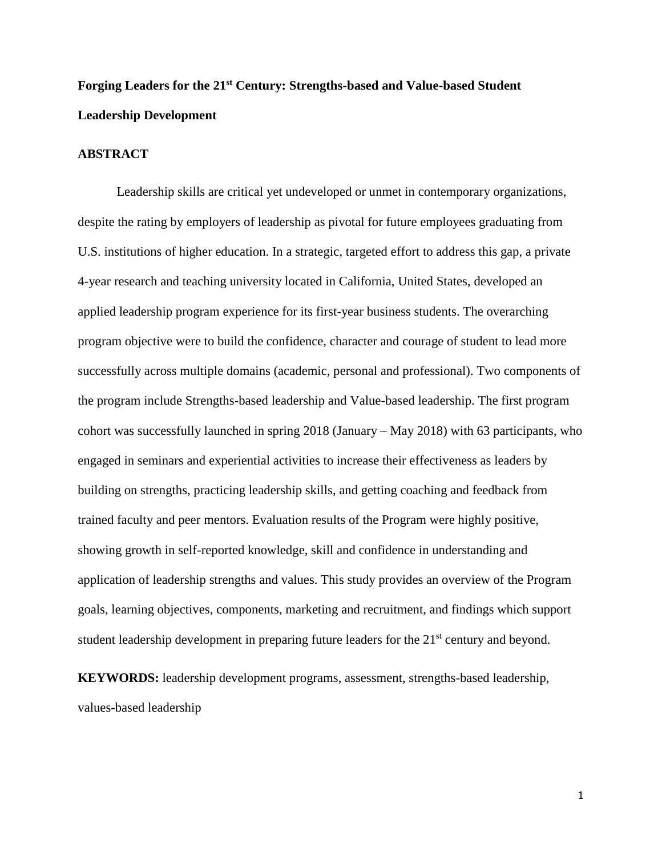# **Forging Leaders for the 21st Century: Strengths-based and Value-based Student Leadership Development**

# **ABSTRACT**

Leadership skills are critical yet undeveloped or unmet in contemporary organizations, despite the rating by employers of leadership as pivotal for future employees graduating from U.S. institutions of higher education. In a strategic, targeted effort to address this gap, a private 4-year research and teaching university located in California, United States, developed an applied leadership program experience for its first-year business students. The overarching program objective were to build the confidence, character and courage of student to lead more successfully across multiple domains (academic, personal and professional). Two components of the program include Strengths-based leadership and Value-based leadership. The first program cohort was successfully launched in spring 2018 (January – May 2018) with 63 participants, who engaged in seminars and experiential activities to increase their effectiveness as leaders by building on strengths, practicing leadership skills, and getting coaching and feedback from trained faculty and peer mentors. Evaluation results of the Program were highly positive, showing growth in self-reported knowledge, skill and confidence in understanding and application of leadership strengths and values. This study provides an overview of the Program goals, learning objectives, components, marketing and recruitment, and findings which support student leadership development in preparing future leaders for the 21<sup>st</sup> century and beyond.

**KEYWORDS:** leadership development programs, assessment, strengths-based leadership, values-based leadership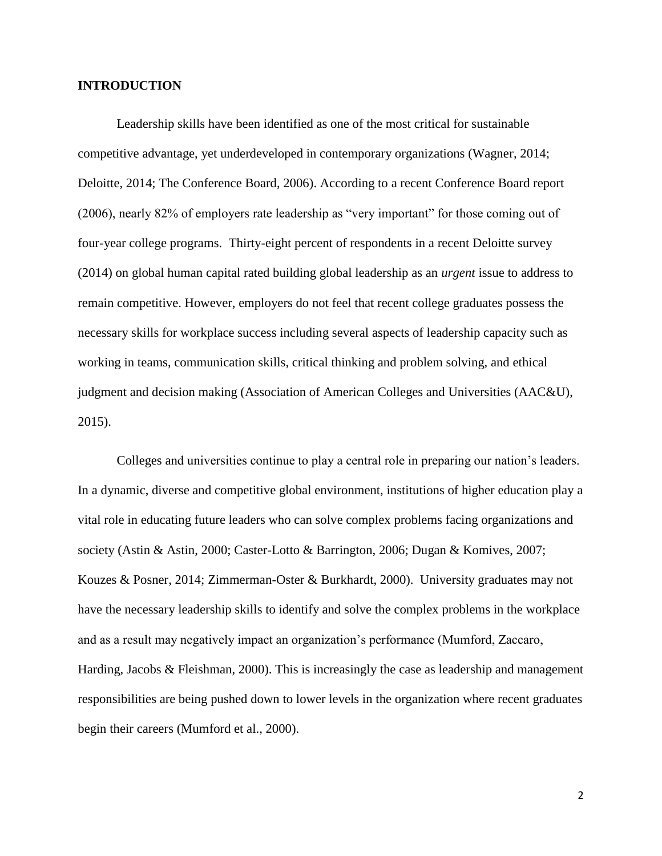# **INTRODUCTION**

Leadership skills have been identified as one of the most critical for sustainable competitive advantage, yet underdeveloped in contemporary organizations (Wagner, 2014; Deloitte, 2014; The Conference Board, 2006). According to a recent Conference Board report (2006), nearly 82% of employers rate leadership as "very important" for those coming out of four-year college programs. Thirty-eight percent of respondents in a recent Deloitte survey (2014) on global human capital rated building global leadership as an *urgent* issue to address to remain competitive. However, employers do not feel that recent college graduates possess the necessary skills for workplace success including several aspects of leadership capacity such as working in teams, communication skills, critical thinking and problem solving, and ethical judgment and decision making (Association of American Colleges and Universities (AAC&U), 2015).

Colleges and universities continue to play a central role in preparing our nation's leaders. In a dynamic, diverse and competitive global environment, institutions of higher education play a vital role in educating future leaders who can solve complex problems facing organizations and society (Astin & Astin, 2000; Caster-Lotto & Barrington, 2006; Dugan & Komives, 2007; Kouzes & Posner, 2014; Zimmerman-Oster & Burkhardt, 2000). University graduates may not have the necessary leadership skills to identify and solve the complex problems in the workplace and as a result may negatively impact an organization's performance (Mumford, Zaccaro, Harding, Jacobs & Fleishman, 2000). This is increasingly the case as leadership and management responsibilities are being pushed down to lower levels in the organization where recent graduates begin their careers (Mumford et al., 2000).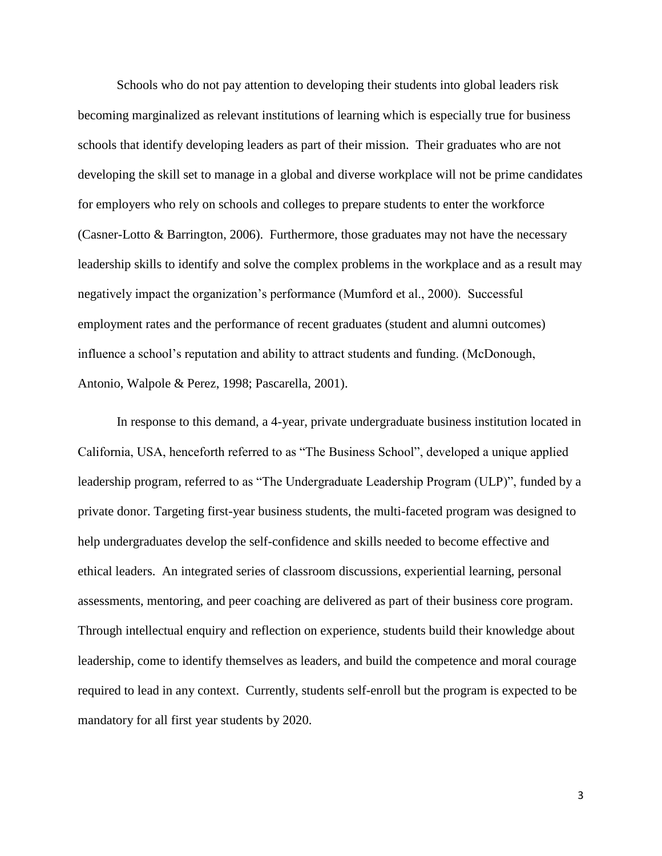Schools who do not pay attention to developing their students into global leaders risk becoming marginalized as relevant institutions of learning which is especially true for business schools that identify developing leaders as part of their mission. Their graduates who are not developing the skill set to manage in a global and diverse workplace will not be prime candidates for employers who rely on schools and colleges to prepare students to enter the workforce (Casner-Lotto & Barrington, 2006). Furthermore, those graduates may not have the necessary leadership skills to identify and solve the complex problems in the workplace and as a result may negatively impact the organization's performance (Mumford et al., 2000). Successful employment rates and the performance of recent graduates (student and alumni outcomes) influence a school's reputation and ability to attract students and funding. (McDonough, Antonio, Walpole & Perez, 1998; Pascarella, 2001).

In response to this demand, a 4-year, private undergraduate business institution located in California, USA, henceforth referred to as "The Business School", developed a unique applied leadership program, referred to as "The Undergraduate Leadership Program (ULP)", funded by a private donor. Targeting first-year business students, the multi-faceted program was designed to help undergraduates develop the self-confidence and skills needed to become effective and ethical leaders. An integrated series of classroom discussions, experiential learning, personal assessments, mentoring, and peer coaching are delivered as part of their business core program. Through intellectual enquiry and reflection on experience, students build their knowledge about leadership, come to identify themselves as leaders, and build the competence and moral courage required to lead in any context. Currently, students self-enroll but the program is expected to be mandatory for all first year students by 2020.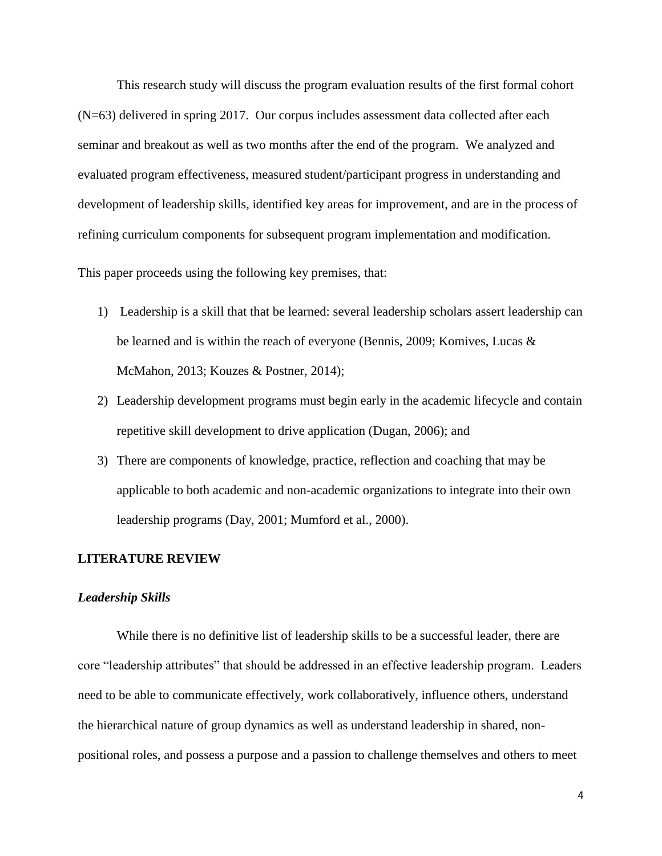This research study will discuss the program evaluation results of the first formal cohort (N=63) delivered in spring 2017. Our corpus includes assessment data collected after each seminar and breakout as well as two months after the end of the program. We analyzed and evaluated program effectiveness, measured student/participant progress in understanding and development of leadership skills, identified key areas for improvement, and are in the process of refining curriculum components for subsequent program implementation and modification.

This paper proceeds using the following key premises, that:

- 1) Leadership is a skill that that be learned: several leadership scholars assert leadership can be learned and is within the reach of everyone (Bennis, 2009; Komives, Lucas & McMahon, 2013; Kouzes & Postner, 2014);
- 2) Leadership development programs must begin early in the academic lifecycle and contain repetitive skill development to drive application (Dugan, 2006); and
- 3) There are components of knowledge, practice, reflection and coaching that may be applicable to both academic and non-academic organizations to integrate into their own leadership programs (Day, 2001; Mumford et al., 2000).

## **LITERATURE REVIEW**

#### *Leadership Skills*

While there is no definitive list of leadership skills to be a successful leader, there are core "leadership attributes" that should be addressed in an effective leadership program. Leaders need to be able to communicate effectively, work collaboratively, influence others, understand the hierarchical nature of group dynamics as well as understand leadership in shared, nonpositional roles, and possess a purpose and a passion to challenge themselves and others to meet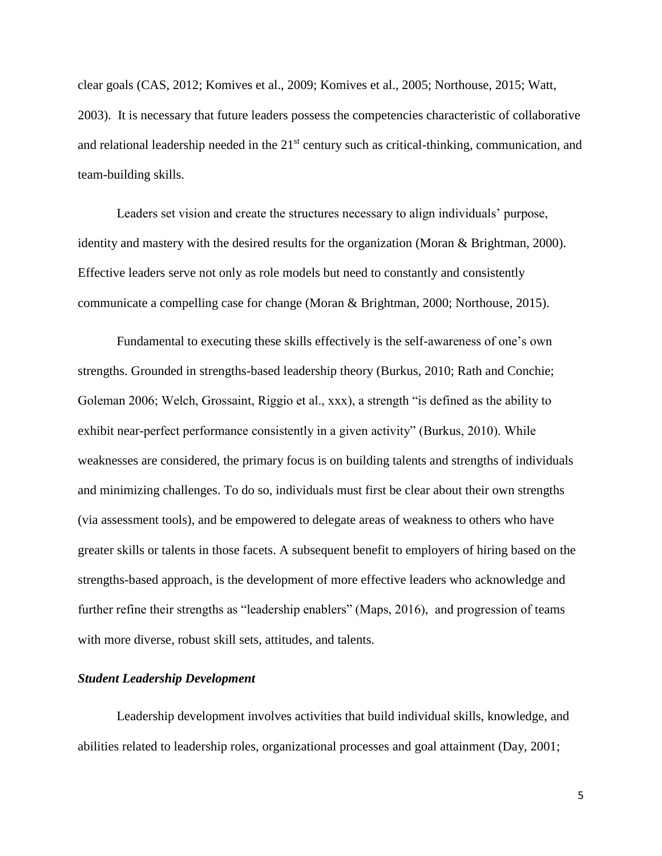clear goals (CAS, 2012; Komives et al., 2009; Komives et al., 2005; Northouse, 2015; Watt, 2003). It is necessary that future leaders possess the competencies characteristic of collaborative and relational leadership needed in the 21<sup>st</sup> century such as critical-thinking, communication, and team-building skills.

Leaders set vision and create the structures necessary to align individuals' purpose, identity and mastery with the desired results for the organization (Moran & Brightman, 2000). Effective leaders serve not only as role models but need to constantly and consistently communicate a compelling case for change (Moran & Brightman, 2000; Northouse, 2015).

Fundamental to executing these skills effectively is the self-awareness of one's own strengths. Grounded in strengths-based leadership theory (Burkus, 2010; Rath and Conchie; Goleman 2006; Welch, Grossaint, Riggio et al., xxx), a strength "is defined as the ability to exhibit near-perfect performance consistently in a given activity" (Burkus, 2010). While weaknesses are considered, the primary focus is on building talents and strengths of individuals and minimizing challenges. To do so, individuals must first be clear about their own strengths (via assessment tools), and be empowered to delegate areas of weakness to others who have greater skills or talents in those facets. A subsequent benefit to employers of hiring based on the strengths-based approach, is the development of more effective leaders who acknowledge and further refine their strengths as "leadership enablers" (Maps, 2016), and progression of teams with more diverse, robust skill sets, attitudes, and talents.

## *Student Leadership Development*

Leadership development involves activities that build individual skills, knowledge, and abilities related to leadership roles, organizational processes and goal attainment (Day, 2001;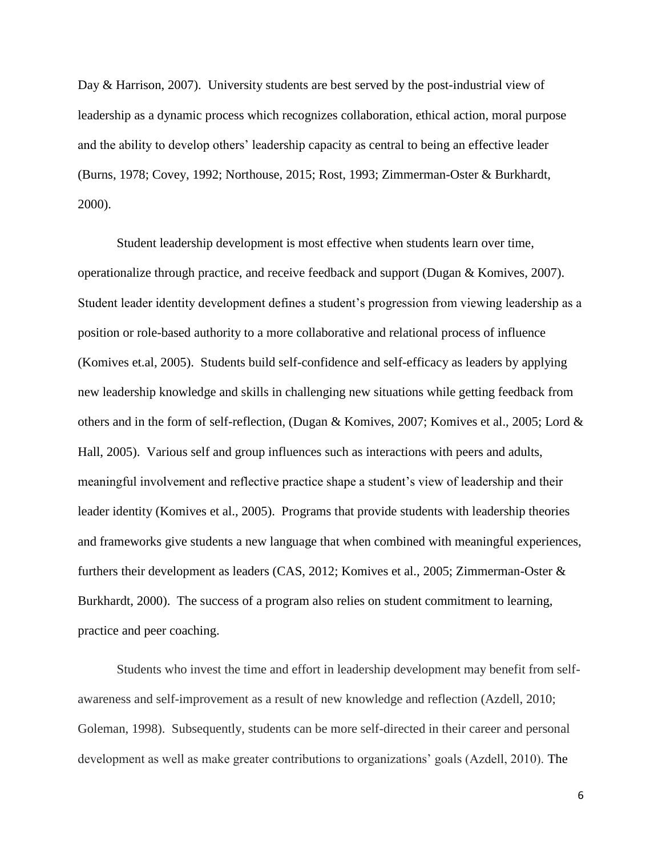Day & Harrison, 2007). University students are best served by the post-industrial view of leadership as a dynamic process which recognizes collaboration, ethical action, moral purpose and the ability to develop others' leadership capacity as central to being an effective leader (Burns, 1978; Covey, 1992; Northouse, 2015; Rost, 1993; Zimmerman-Oster & Burkhardt, 2000).

Student leadership development is most effective when students learn over time, operationalize through practice, and receive feedback and support (Dugan & Komives, 2007). Student leader identity development defines a student's progression from viewing leadership as a position or role-based authority to a more collaborative and relational process of influence (Komives et.al, 2005). Students build self-confidence and self-efficacy as leaders by applying new leadership knowledge and skills in challenging new situations while getting feedback from others and in the form of self-reflection, (Dugan & Komives, 2007; Komives et al., 2005; Lord & Hall, 2005). Various self and group influences such as interactions with peers and adults, meaningful involvement and reflective practice shape a student's view of leadership and their leader identity (Komives et al., 2005). Programs that provide students with leadership theories and frameworks give students a new language that when combined with meaningful experiences, furthers their development as leaders (CAS, 2012; Komives et al., 2005; Zimmerman-Oster & Burkhardt, 2000). The success of a program also relies on student commitment to learning, practice and peer coaching.

Students who invest the time and effort in leadership development may benefit from selfawareness and self-improvement as a result of new knowledge and reflection (Azdell, 2010; Goleman, 1998). Subsequently, students can be more self-directed in their career and personal development as well as make greater contributions to organizations' goals (Azdell, 2010). The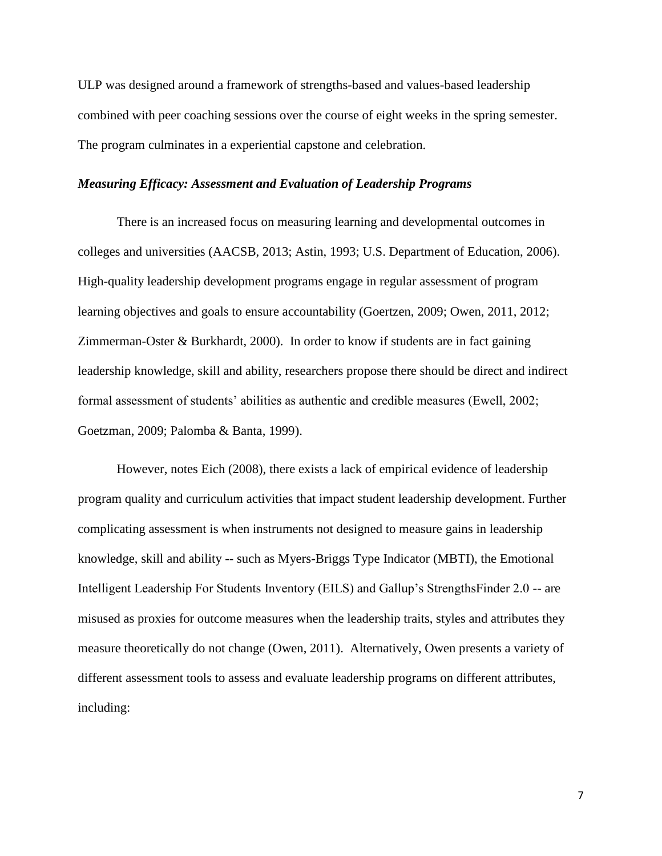ULP was designed around a framework of strengths-based and values-based leadership combined with peer coaching sessions over the course of eight weeks in the spring semester. The program culminates in a experiential capstone and celebration.

# *Measuring Efficacy: Assessment and Evaluation of Leadership Programs*

There is an increased focus on measuring learning and developmental outcomes in colleges and universities (AACSB, 2013; Astin, 1993; U.S. Department of Education, 2006). High-quality leadership development programs engage in regular assessment of program learning objectives and goals to ensure accountability (Goertzen, 2009; Owen, 2011, 2012; Zimmerman-Oster & Burkhardt, 2000). In order to know if students are in fact gaining leadership knowledge, skill and ability, researchers propose there should be direct and indirect formal assessment of students' abilities as authentic and credible measures (Ewell, 2002; Goetzman, 2009; Palomba & Banta, 1999).

However, notes Eich (2008), there exists a lack of empirical evidence of leadership program quality and curriculum activities that impact student leadership development. Further complicating assessment is when instruments not designed to measure gains in leadership knowledge, skill and ability -- such as Myers-Briggs Type Indicator (MBTI), the Emotional Intelligent Leadership For Students Inventory (EILS) and Gallup's StrengthsFinder 2.0 -- are misused as proxies for outcome measures when the leadership traits, styles and attributes they measure theoretically do not change (Owen, 2011). Alternatively, Owen presents a variety of different assessment tools to assess and evaluate leadership programs on different attributes, including: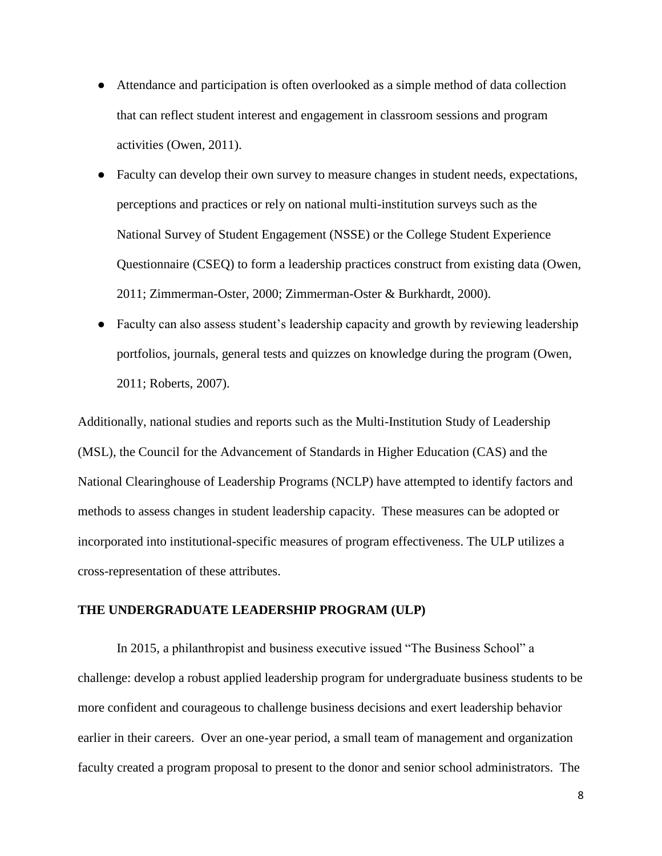- Attendance and participation is often overlooked as a simple method of data collection that can reflect student interest and engagement in classroom sessions and program activities (Owen, 2011).
- Faculty can develop their own survey to measure changes in student needs, expectations, perceptions and practices or rely on national multi-institution surveys such as the National Survey of Student Engagement (NSSE) or the College Student Experience Questionnaire (CSEQ) to form a leadership practices construct from existing data (Owen, 2011; Zimmerman-Oster, 2000; Zimmerman-Oster & Burkhardt, 2000).
- Faculty can also assess student's leadership capacity and growth by reviewing leadership portfolios, journals, general tests and quizzes on knowledge during the program (Owen, 2011; Roberts, 2007).

Additionally, national studies and reports such as the Multi-Institution Study of Leadership (MSL), the Council for the Advancement of Standards in Higher Education (CAS) and the National Clearinghouse of Leadership Programs (NCLP) have attempted to identify factors and methods to assess changes in student leadership capacity. These measures can be adopted or incorporated into institutional-specific measures of program effectiveness. The ULP utilizes a cross-representation of these attributes.

#### **THE UNDERGRADUATE LEADERSHIP PROGRAM (ULP)**

In 2015, a philanthropist and business executive issued "The Business School" a challenge: develop a robust applied leadership program for undergraduate business students to be more confident and courageous to challenge business decisions and exert leadership behavior earlier in their careers. Over an one-year period, a small team of management and organization faculty created a program proposal to present to the donor and senior school administrators. The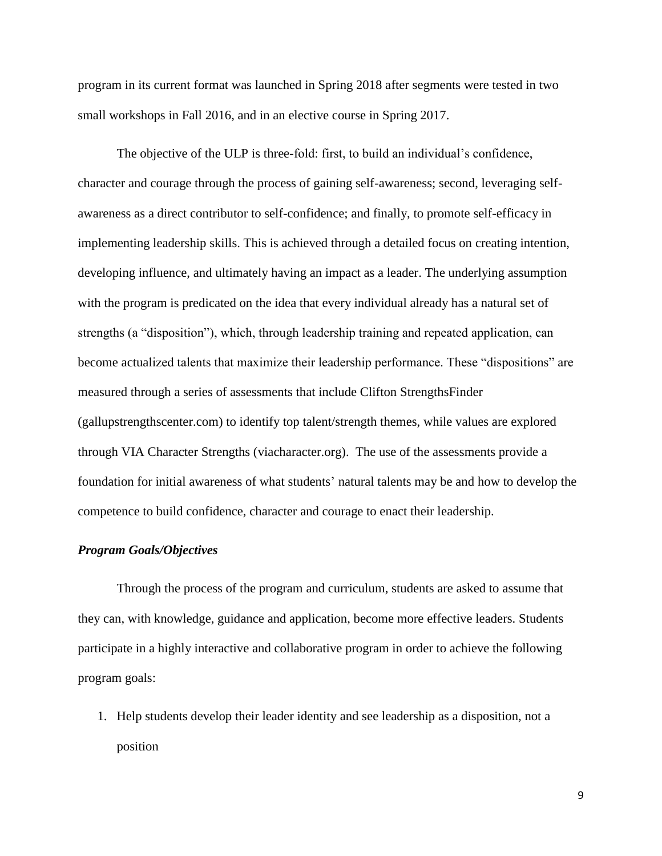program in its current format was launched in Spring 2018 after segments were tested in two small workshops in Fall 2016, and in an elective course in Spring 2017.

The objective of the ULP is three-fold: first, to build an individual's confidence, character and courage through the process of gaining self-awareness; second, leveraging selfawareness as a direct contributor to self-confidence; and finally, to promote self-efficacy in implementing leadership skills. This is achieved through a detailed focus on creating intention, developing influence, and ultimately having an impact as a leader. The underlying assumption with the program is predicated on the idea that every individual already has a natural set of strengths (a "disposition"), which, through leadership training and repeated application, can become actualized talents that maximize their leadership performance. These "dispositions" are measured through a series of assessments that include Clifton StrengthsFinder (gallupstrengthscenter.com) to identify top talent/strength themes, while values are explored through VIA Character Strengths (viacharacter.org). The use of the assessments provide a foundation for initial awareness of what students' natural talents may be and how to develop the competence to build confidence, character and courage to enact their leadership.

#### *Program Goals/Objectives*

Through the process of the program and curriculum, students are asked to assume that they can, with knowledge, guidance and application, become more effective leaders. Students participate in a highly interactive and collaborative program in order to achieve the following program goals:

1. Help students develop their leader identity and see leadership as a disposition, not a position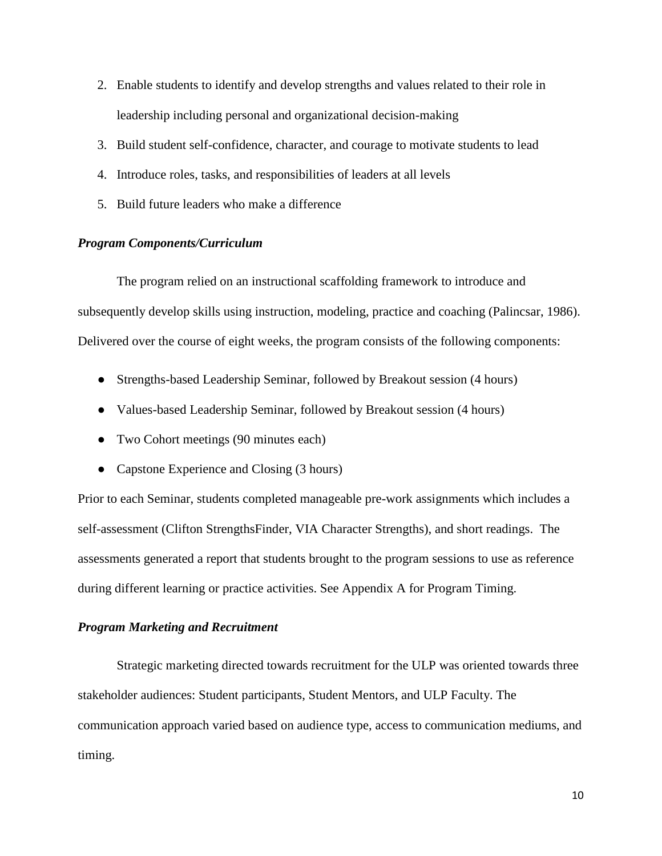- 2. Enable students to identify and develop strengths and values related to their role in leadership including personal and organizational decision-making
- 3. Build student self-confidence, character, and courage to motivate students to lead
- 4. Introduce roles, tasks, and responsibilities of leaders at all levels
- 5. Build future leaders who make a difference

# *Program Components/Curriculum*

The program relied on an instructional scaffolding framework to introduce and subsequently develop skills using instruction, modeling, practice and coaching (Palincsar, 1986). Delivered over the course of eight weeks, the program consists of the following components:

- Strengths-based Leadership Seminar, followed by Breakout session (4 hours)
- Values-based Leadership Seminar, followed by Breakout session (4 hours)
- Two Cohort meetings (90 minutes each)
- Capstone Experience and Closing (3 hours)

Prior to each Seminar, students completed manageable pre-work assignments which includes a self-assessment (Clifton StrengthsFinder, VIA Character Strengths), and short readings. The assessments generated a report that students brought to the program sessions to use as reference during different learning or practice activities. See Appendix A for Program Timing.

# *Program Marketing and Recruitment*

Strategic marketing directed towards recruitment for the ULP was oriented towards three stakeholder audiences: Student participants, Student Mentors, and ULP Faculty. The communication approach varied based on audience type, access to communication mediums, and timing.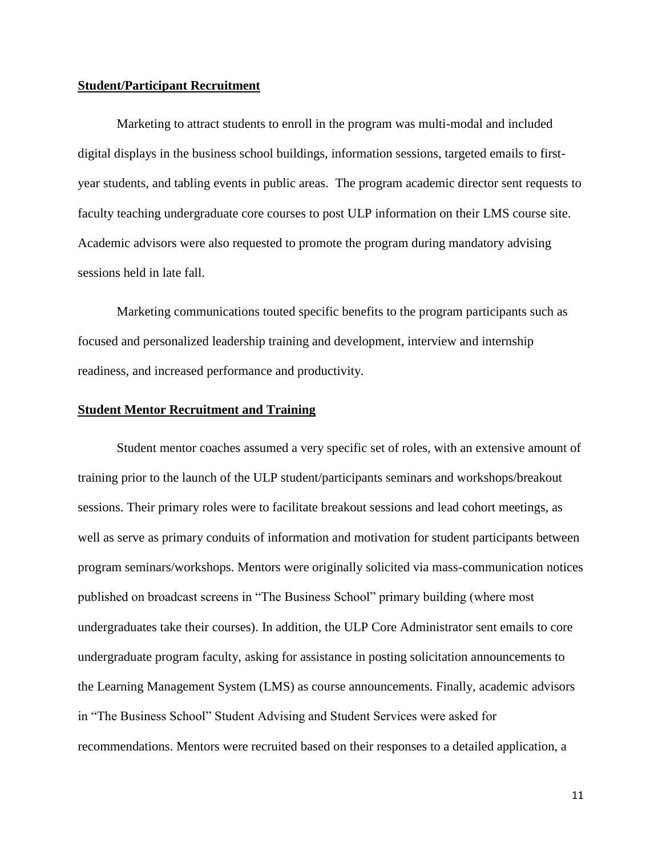# **Student/Participant Recruitment**

Marketing to attract students to enroll in the program was multi-modal and included digital displays in the business school buildings, information sessions, targeted emails to firstyear students, and tabling events in public areas. The program academic director sent requests to faculty teaching undergraduate core courses to post ULP information on their LMS course site. Academic advisors were also requested to promote the program during mandatory advising sessions held in late fall.

Marketing communications touted specific benefits to the program participants such as focused and personalized leadership training and development, interview and internship readiness, and increased performance and productivity.

#### **Student Mentor Recruitment and Training**

Student mentor coaches assumed a very specific set of roles, with an extensive amount of training prior to the launch of the ULP student/participants seminars and workshops/breakout sessions. Their primary roles were to facilitate breakout sessions and lead cohort meetings, as well as serve as primary conduits of information and motivation for student participants between program seminars/workshops. Mentors were originally solicited via mass-communication notices published on broadcast screens in "The Business School" primary building (where most undergraduates take their courses). In addition, the ULP Core Administrator sent emails to core undergraduate program faculty, asking for assistance in posting solicitation announcements to the Learning Management System (LMS) as course announcements. Finally, academic advisors in "The Business School" Student Advising and Student Services were asked for recommendations. Mentors were recruited based on their responses to a detailed application, a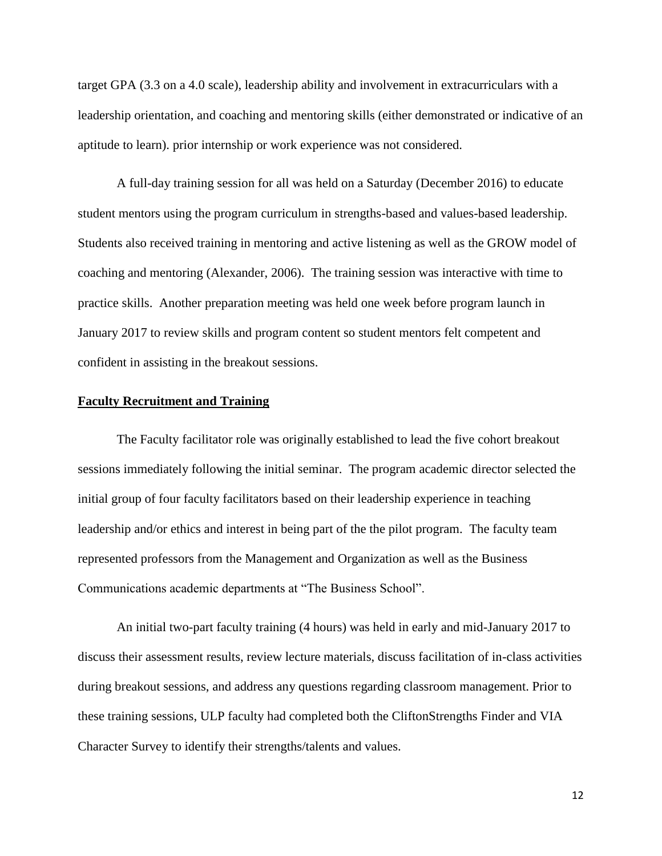target GPA (3.3 on a 4.0 scale), leadership ability and involvement in extracurriculars with a leadership orientation, and coaching and mentoring skills (either demonstrated or indicative of an aptitude to learn). prior internship or work experience was not considered.

A full-day training session for all was held on a Saturday (December 2016) to educate student mentors using the program curriculum in strengths-based and values-based leadership. Students also received training in mentoring and active listening as well as the GROW model of coaching and mentoring (Alexander, 2006). The training session was interactive with time to practice skills. Another preparation meeting was held one week before program launch in January 2017 to review skills and program content so student mentors felt competent and confident in assisting in the breakout sessions.

#### **Faculty Recruitment and Training**

The Faculty facilitator role was originally established to lead the five cohort breakout sessions immediately following the initial seminar. The program academic director selected the initial group of four faculty facilitators based on their leadership experience in teaching leadership and/or ethics and interest in being part of the the pilot program. The faculty team represented professors from the Management and Organization as well as the Business Communications academic departments at "The Business School".

An initial two-part faculty training (4 hours) was held in early and mid-January 2017 to discuss their assessment results, review lecture materials, discuss facilitation of in-class activities during breakout sessions, and address any questions regarding classroom management. Prior to these training sessions, ULP faculty had completed both the CliftonStrengths Finder and VIA Character Survey to identify their strengths/talents and values.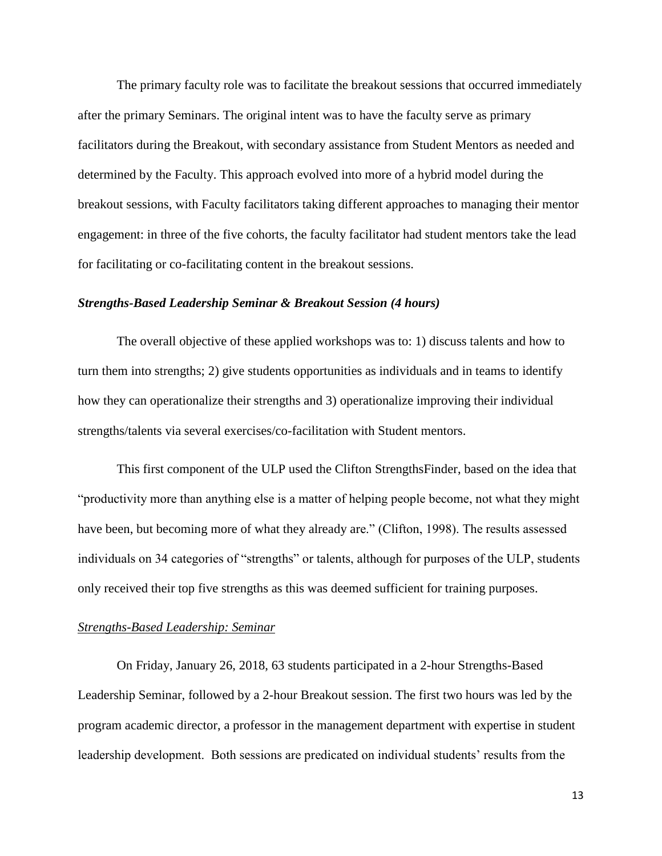The primary faculty role was to facilitate the breakout sessions that occurred immediately after the primary Seminars. The original intent was to have the faculty serve as primary facilitators during the Breakout, with secondary assistance from Student Mentors as needed and determined by the Faculty. This approach evolved into more of a hybrid model during the breakout sessions, with Faculty facilitators taking different approaches to managing their mentor engagement: in three of the five cohorts, the faculty facilitator had student mentors take the lead for facilitating or co-facilitating content in the breakout sessions.

# *Strengths-Based Leadership Seminar & Breakout Session (4 hours)*

The overall objective of these applied workshops was to: 1) discuss talents and how to turn them into strengths; 2) give students opportunities as individuals and in teams to identify how they can operationalize their strengths and 3) operationalize improving their individual strengths/talents via several exercises/co-facilitation with Student mentors.

This first component of the ULP used the Clifton StrengthsFinder, based on the idea that "productivity more than anything else is a matter of helping people become, not what they might have been, but becoming more of what they already are." (Clifton, 1998). The results assessed individuals on 34 categories of "strengths" or talents, although for purposes of the ULP, students only received their top five strengths as this was deemed sufficient for training purposes.

#### *Strengths-Based Leadership: Seminar*

On Friday, January 26, 2018, 63 students participated in a 2-hour Strengths-Based Leadership Seminar, followed by a 2-hour Breakout session. The first two hours was led by the program academic director, a professor in the management department with expertise in student leadership development. Both sessions are predicated on individual students' results from the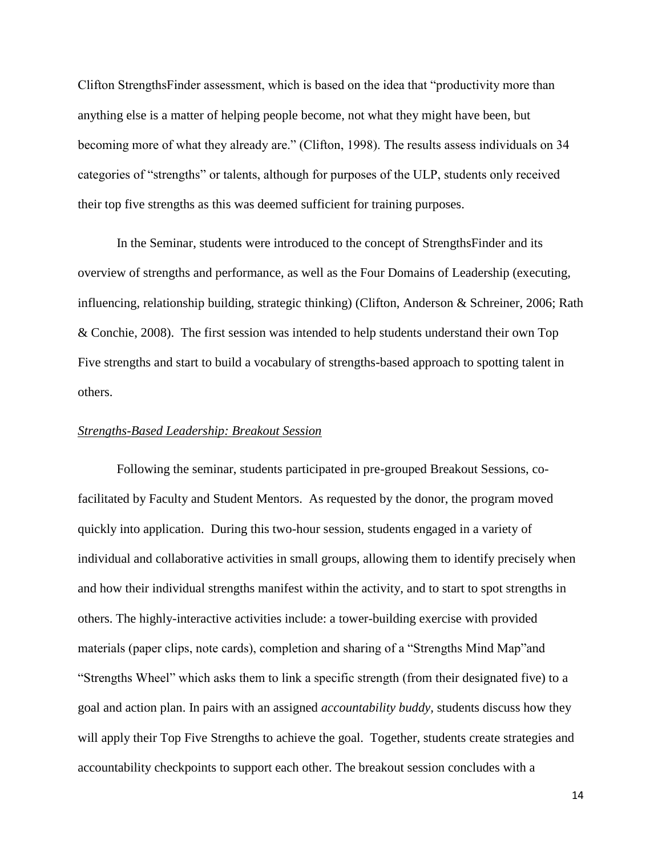Clifton StrengthsFinder assessment, which is based on the idea that "productivity more than anything else is a matter of helping people become, not what they might have been, but becoming more of what they already are." (Clifton, 1998). The results assess individuals on 34 categories of "strengths" or talents, although for purposes of the ULP, students only received their top five strengths as this was deemed sufficient for training purposes.

In the Seminar, students were introduced to the concept of StrengthsFinder and its overview of strengths and performance, as well as the Four Domains of Leadership (executing, influencing, relationship building, strategic thinking) (Clifton, Anderson & Schreiner, 2006; Rath & Conchie, 2008). The first session was intended to help students understand their own Top Five strengths and start to build a vocabulary of strengths-based approach to spotting talent in others.

#### *Strengths-Based Leadership: Breakout Session*

Following the seminar, students participated in pre-grouped Breakout Sessions, cofacilitated by Faculty and Student Mentors. As requested by the donor, the program moved quickly into application. During this two-hour session, students engaged in a variety of individual and collaborative activities in small groups, allowing them to identify precisely when and how their individual strengths manifest within the activity, and to start to spot strengths in others. The highly-interactive activities include: a tower-building exercise with provided materials (paper clips, note cards), completion and sharing of a "Strengths Mind Map"and "Strengths Wheel" which asks them to link a specific strength (from their designated five) to a goal and action plan. In pairs with an assigned *accountability buddy,* students discuss how they will apply their Top Five Strengths to achieve the goal. Together, students create strategies and accountability checkpoints to support each other. The breakout session concludes with a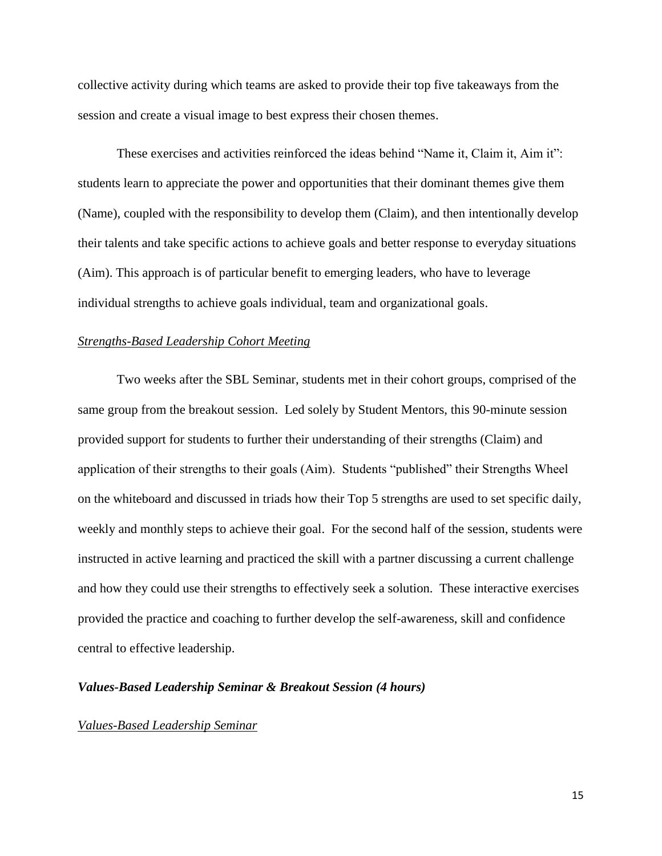collective activity during which teams are asked to provide their top five takeaways from the session and create a visual image to best express their chosen themes.

These exercises and activities reinforced the ideas behind "Name it, Claim it, Aim it": students learn to appreciate the power and opportunities that their dominant themes give them (Name), coupled with the responsibility to develop them (Claim), and then intentionally develop their talents and take specific actions to achieve goals and better response to everyday situations (Aim). This approach is of particular benefit to emerging leaders, who have to leverage individual strengths to achieve goals individual, team and organizational goals.

#### *Strengths-Based Leadership Cohort Meeting*

Two weeks after the SBL Seminar, students met in their cohort groups, comprised of the same group from the breakout session. Led solely by Student Mentors, this 90-minute session provided support for students to further their understanding of their strengths (Claim) and application of their strengths to their goals (Aim). Students "published" their Strengths Wheel on the whiteboard and discussed in triads how their Top 5 strengths are used to set specific daily, weekly and monthly steps to achieve their goal. For the second half of the session, students were instructed in active learning and practiced the skill with a partner discussing a current challenge and how they could use their strengths to effectively seek a solution. These interactive exercises provided the practice and coaching to further develop the self-awareness, skill and confidence central to effective leadership.

# *Values-Based Leadership Seminar & Breakout Session (4 hours)*

#### *Values-Based Leadership Seminar*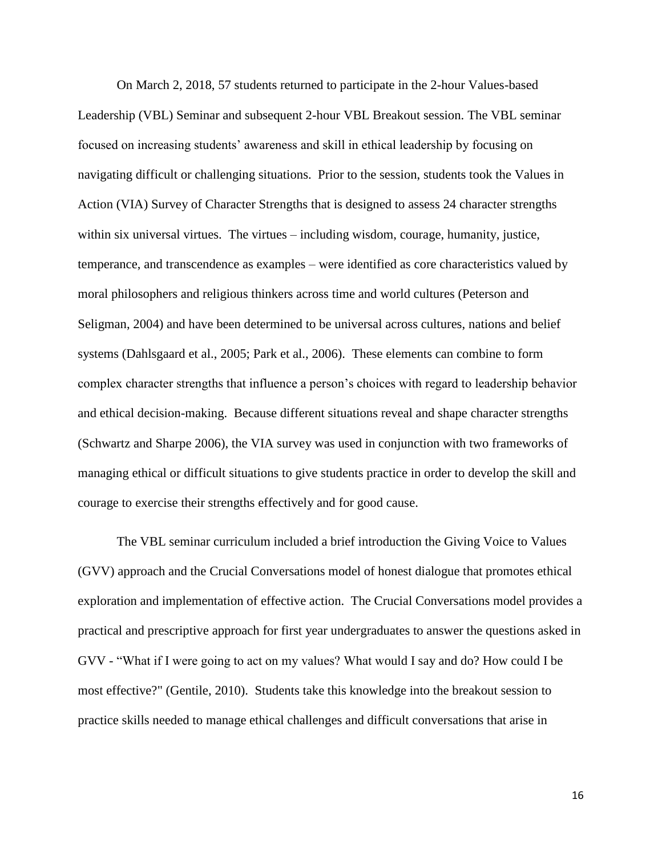On March 2, 2018, 57 students returned to participate in the 2-hour Values-based Leadership (VBL) Seminar and subsequent 2-hour VBL Breakout session. The VBL seminar focused on increasing students' awareness and skill in ethical leadership by focusing on navigating difficult or challenging situations. Prior to the session, students took the Values in Action (VIA) Survey of Character Strengths that is designed to assess 24 character strengths within six universal virtues. The virtues – including wisdom, courage, humanity, justice, temperance, and transcendence as examples – were identified as core characteristics valued by moral philosophers and religious thinkers across time and world cultures (Peterson and Seligman, 2004) and have been determined to be universal across cultures, nations and belief systems (Dahlsgaard et al., 2005; Park et al., 2006). These elements can combine to form complex character strengths that influence a person's choices with regard to leadership behavior and ethical decision-making. Because different situations reveal and shape character strengths (Schwartz and Sharpe 2006), the VIA survey was used in conjunction with two frameworks of managing ethical or difficult situations to give students practice in order to develop the skill and courage to exercise their strengths effectively and for good cause.

The VBL seminar curriculum included a brief introduction the Giving Voice to Values (GVV) approach and the Crucial Conversations model of honest dialogue that promotes ethical exploration and implementation of effective action. The Crucial Conversations model provides a practical and prescriptive approach for first year undergraduates to answer the questions asked in GVV - "What if I were going to act on my values? What would I say and do? How could I be most effective?" (Gentile, 2010). Students take this knowledge into the breakout session to practice skills needed to manage ethical challenges and difficult conversations that arise in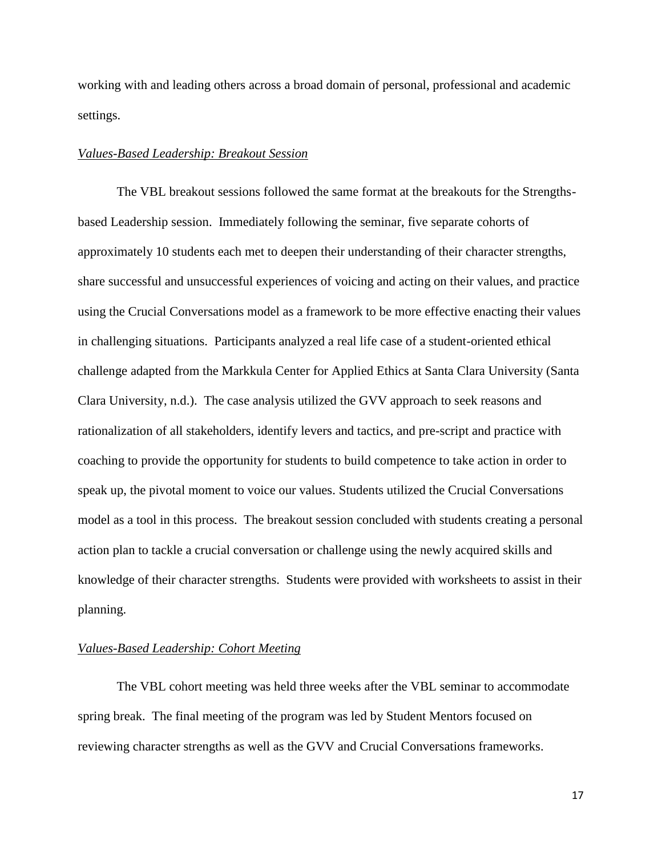working with and leading others across a broad domain of personal, professional and academic settings.

# *Values-Based Leadership: Breakout Session*

The VBL breakout sessions followed the same format at the breakouts for the Strengthsbased Leadership session. Immediately following the seminar, five separate cohorts of approximately 10 students each met to deepen their understanding of their character strengths, share successful and unsuccessful experiences of voicing and acting on their values, and practice using the Crucial Conversations model as a framework to be more effective enacting their values in challenging situations. Participants analyzed a real life case of a student-oriented ethical challenge adapted from the Markkula Center for Applied Ethics at Santa Clara University (Santa Clara University, n.d.). The case analysis utilized the GVV approach to seek reasons and rationalization of all stakeholders, identify levers and tactics, and pre-script and practice with coaching to provide the opportunity for students to build competence to take action in order to speak up, the pivotal moment to voice our values. Students utilized the Crucial Conversations model as a tool in this process. The breakout session concluded with students creating a personal action plan to tackle a crucial conversation or challenge using the newly acquired skills and knowledge of their character strengths. Students were provided with worksheets to assist in their planning.

# *Values-Based Leadership: Cohort Meeting*

The VBL cohort meeting was held three weeks after the VBL seminar to accommodate spring break. The final meeting of the program was led by Student Mentors focused on reviewing character strengths as well as the GVV and Crucial Conversations frameworks.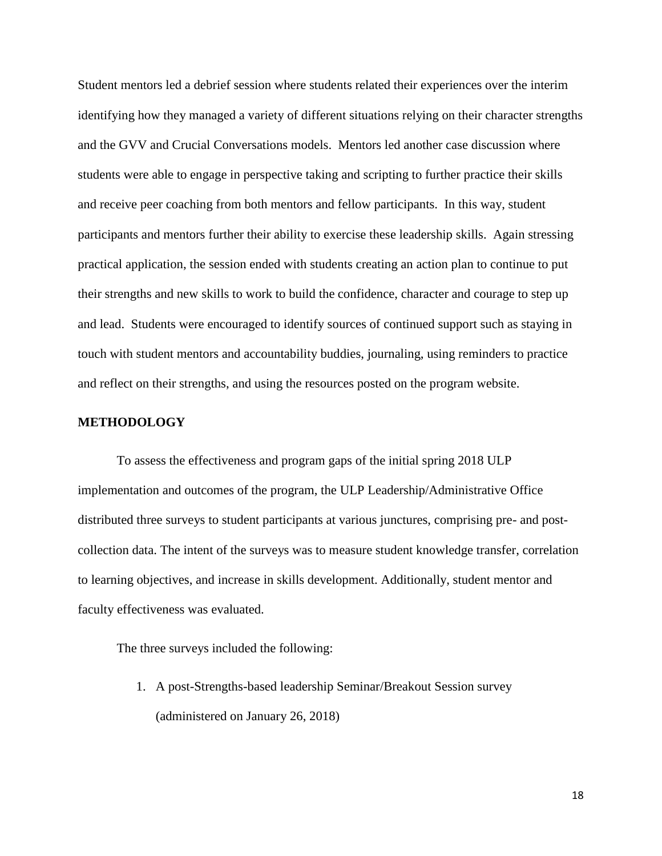Student mentors led a debrief session where students related their experiences over the interim identifying how they managed a variety of different situations relying on their character strengths and the GVV and Crucial Conversations models. Mentors led another case discussion where students were able to engage in perspective taking and scripting to further practice their skills and receive peer coaching from both mentors and fellow participants. In this way, student participants and mentors further their ability to exercise these leadership skills. Again stressing practical application, the session ended with students creating an action plan to continue to put their strengths and new skills to work to build the confidence, character and courage to step up and lead. Students were encouraged to identify sources of continued support such as staying in touch with student mentors and accountability buddies, journaling, using reminders to practice and reflect on their strengths, and using the resources posted on the program website.

# **METHODOLOGY**

To assess the effectiveness and program gaps of the initial spring 2018 ULP implementation and outcomes of the program, the ULP Leadership/Administrative Office distributed three surveys to student participants at various junctures, comprising pre- and postcollection data. The intent of the surveys was to measure student knowledge transfer, correlation to learning objectives, and increase in skills development. Additionally, student mentor and faculty effectiveness was evaluated.

The three surveys included the following:

1. A post-Strengths-based leadership Seminar/Breakout Session survey (administered on January 26, 2018)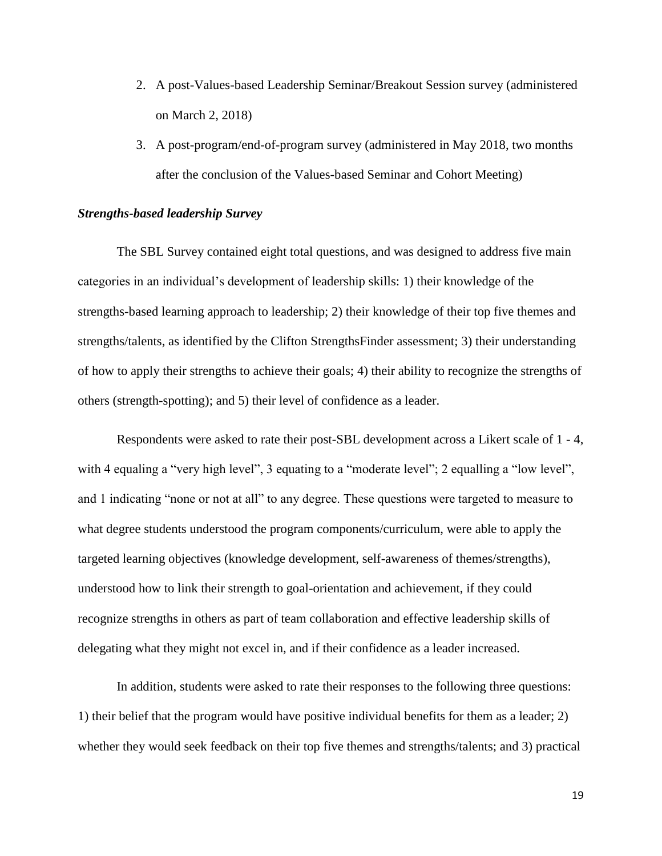- 2. A post-Values-based Leadership Seminar/Breakout Session survey (administered on March 2, 2018)
- 3. A post-program/end-of-program survey (administered in May 2018, two months after the conclusion of the Values-based Seminar and Cohort Meeting)

# *Strengths-based leadership Survey*

The SBL Survey contained eight total questions, and was designed to address five main categories in an individual's development of leadership skills: 1) their knowledge of the strengths-based learning approach to leadership; 2) their knowledge of their top five themes and strengths/talents, as identified by the Clifton StrengthsFinder assessment; 3) their understanding of how to apply their strengths to achieve their goals; 4) their ability to recognize the strengths of others (strength-spotting); and 5) their level of confidence as a leader.

Respondents were asked to rate their post-SBL development across a Likert scale of 1 - 4, with 4 equaling a "very high level", 3 equating to a "moderate level"; 2 equalling a "low level", and 1 indicating "none or not at all" to any degree. These questions were targeted to measure to what degree students understood the program components/curriculum, were able to apply the targeted learning objectives (knowledge development, self-awareness of themes/strengths), understood how to link their strength to goal-orientation and achievement, if they could recognize strengths in others as part of team collaboration and effective leadership skills of delegating what they might not excel in, and if their confidence as a leader increased.

In addition, students were asked to rate their responses to the following three questions: 1) their belief that the program would have positive individual benefits for them as a leader; 2) whether they would seek feedback on their top five themes and strengths/talents; and 3) practical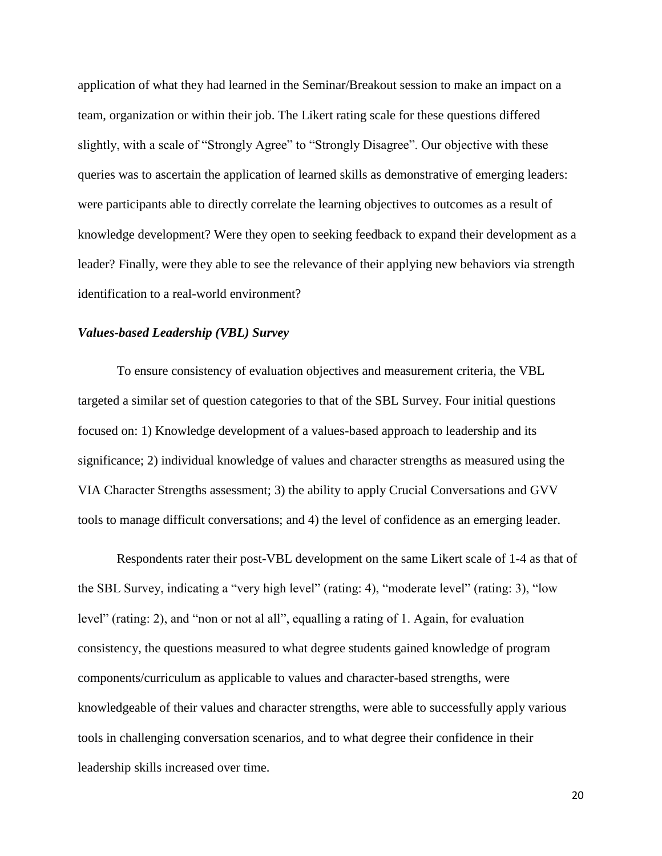application of what they had learned in the Seminar/Breakout session to make an impact on a team, organization or within their job. The Likert rating scale for these questions differed slightly, with a scale of "Strongly Agree" to "Strongly Disagree". Our objective with these queries was to ascertain the application of learned skills as demonstrative of emerging leaders: were participants able to directly correlate the learning objectives to outcomes as a result of knowledge development? Were they open to seeking feedback to expand their development as a leader? Finally, were they able to see the relevance of their applying new behaviors via strength identification to a real-world environment?

## *Values-based Leadership (VBL) Survey*

To ensure consistency of evaluation objectives and measurement criteria, the VBL targeted a similar set of question categories to that of the SBL Survey. Four initial questions focused on: 1) Knowledge development of a values-based approach to leadership and its significance; 2) individual knowledge of values and character strengths as measured using the VIA Character Strengths assessment; 3) the ability to apply Crucial Conversations and GVV tools to manage difficult conversations; and 4) the level of confidence as an emerging leader.

Respondents rater their post-VBL development on the same Likert scale of 1-4 as that of the SBL Survey, indicating a "very high level" (rating: 4), "moderate level" (rating: 3), "low level" (rating: 2), and "non or not al all", equalling a rating of 1. Again, for evaluation consistency, the questions measured to what degree students gained knowledge of program components/curriculum as applicable to values and character-based strengths, were knowledgeable of their values and character strengths, were able to successfully apply various tools in challenging conversation scenarios, and to what degree their confidence in their leadership skills increased over time.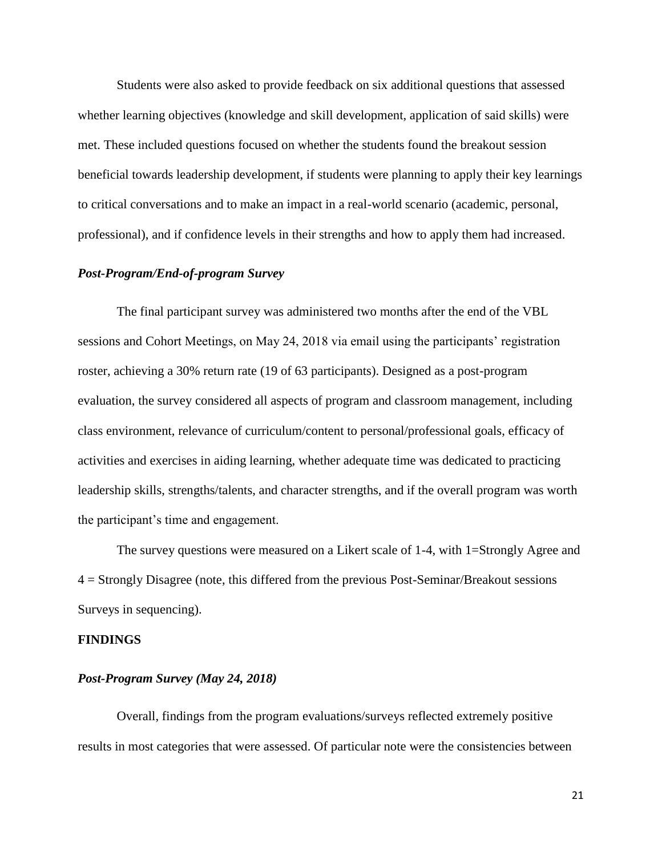Students were also asked to provide feedback on six additional questions that assessed whether learning objectives (knowledge and skill development, application of said skills) were met. These included questions focused on whether the students found the breakout session beneficial towards leadership development, if students were planning to apply their key learnings to critical conversations and to make an impact in a real-world scenario (academic, personal, professional), and if confidence levels in their strengths and how to apply them had increased.

# *Post-Program/End-of-program Survey*

The final participant survey was administered two months after the end of the VBL sessions and Cohort Meetings, on May 24, 2018 via email using the participants' registration roster, achieving a 30% return rate (19 of 63 participants). Designed as a post-program evaluation, the survey considered all aspects of program and classroom management, including class environment, relevance of curriculum/content to personal/professional goals, efficacy of activities and exercises in aiding learning, whether adequate time was dedicated to practicing leadership skills, strengths/talents, and character strengths, and if the overall program was worth the participant's time and engagement.

The survey questions were measured on a Likert scale of 1-4, with 1=Strongly Agree and 4 = Strongly Disagree (note, this differed from the previous Post-Seminar/Breakout sessions Surveys in sequencing).

## **FINDINGS**

## *Post-Program Survey (May 24, 2018)*

Overall, findings from the program evaluations/surveys reflected extremely positive results in most categories that were assessed. Of particular note were the consistencies between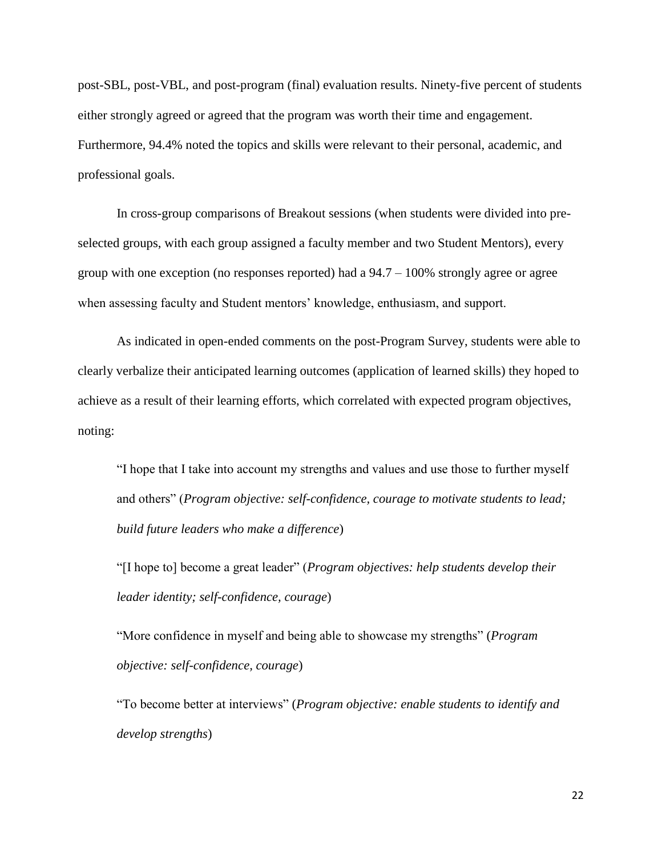post-SBL, post-VBL, and post-program (final) evaluation results. Ninety-five percent of students either strongly agreed or agreed that the program was worth their time and engagement. Furthermore, 94.4% noted the topics and skills were relevant to their personal, academic, and professional goals.

In cross-group comparisons of Breakout sessions (when students were divided into preselected groups, with each group assigned a faculty member and two Student Mentors), every group with one exception (no responses reported) had a 94.7 – 100% strongly agree or agree when assessing faculty and Student mentors' knowledge, enthusiasm, and support.

As indicated in open-ended comments on the post-Program Survey, students were able to clearly verbalize their anticipated learning outcomes (application of learned skills) they hoped to achieve as a result of their learning efforts, which correlated with expected program objectives, noting:

"I hope that I take into account my strengths and values and use those to further myself and others" (*Program objective: self-confidence, courage to motivate students to lead; build future leaders who make a difference*)

"[I hope to] become a great leader" (*Program objectives: help students develop their leader identity; self-confidence, courage*)

"More confidence in myself and being able to showcase my strengths" (*Program objective: self-confidence, courage*)

"To become better at interviews" (*Program objective: enable students to identify and develop strengths*)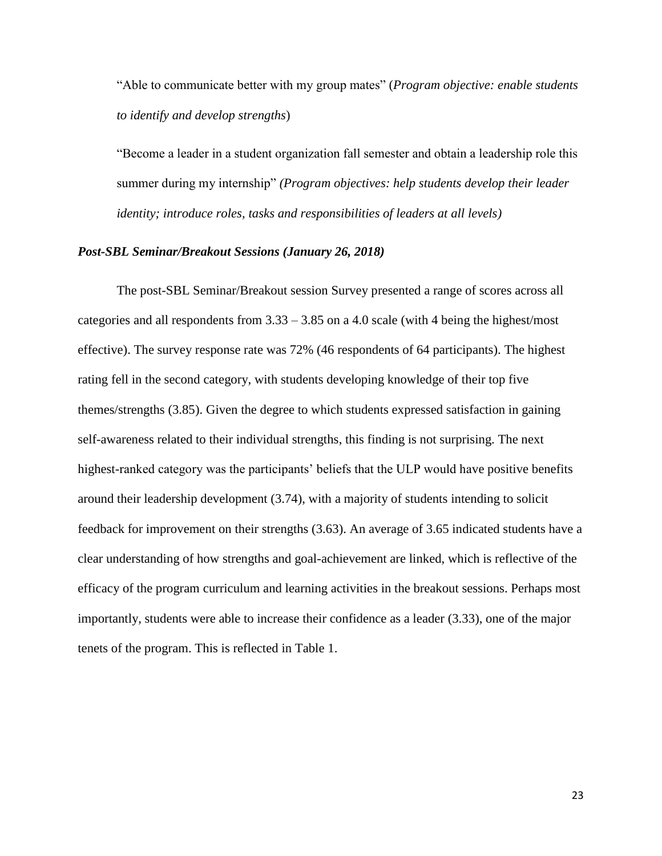"Able to communicate better with my group mates" (*Program objective: enable students to identify and develop strengths*)

"Become a leader in a student organization fall semester and obtain a leadership role this summer during my internship" *(Program objectives: help students develop their leader identity; introduce roles, tasks and responsibilities of leaders at all levels)*

## *Post-SBL Seminar/Breakout Sessions (January 26, 2018)*

The post-SBL Seminar/Breakout session Survey presented a range of scores across all categories and all respondents from 3.33 – 3.85 on a 4.0 scale (with 4 being the highest/most effective). The survey response rate was 72% (46 respondents of 64 participants). The highest rating fell in the second category, with students developing knowledge of their top five themes/strengths (3.85). Given the degree to which students expressed satisfaction in gaining self-awareness related to their individual strengths, this finding is not surprising. The next highest-ranked category was the participants' beliefs that the ULP would have positive benefits around their leadership development (3.74), with a majority of students intending to solicit feedback for improvement on their strengths (3.63). An average of 3.65 indicated students have a clear understanding of how strengths and goal-achievement are linked, which is reflective of the efficacy of the program curriculum and learning activities in the breakout sessions. Perhaps most importantly, students were able to increase their confidence as a leader (3.33), one of the major tenets of the program. This is reflected in Table 1.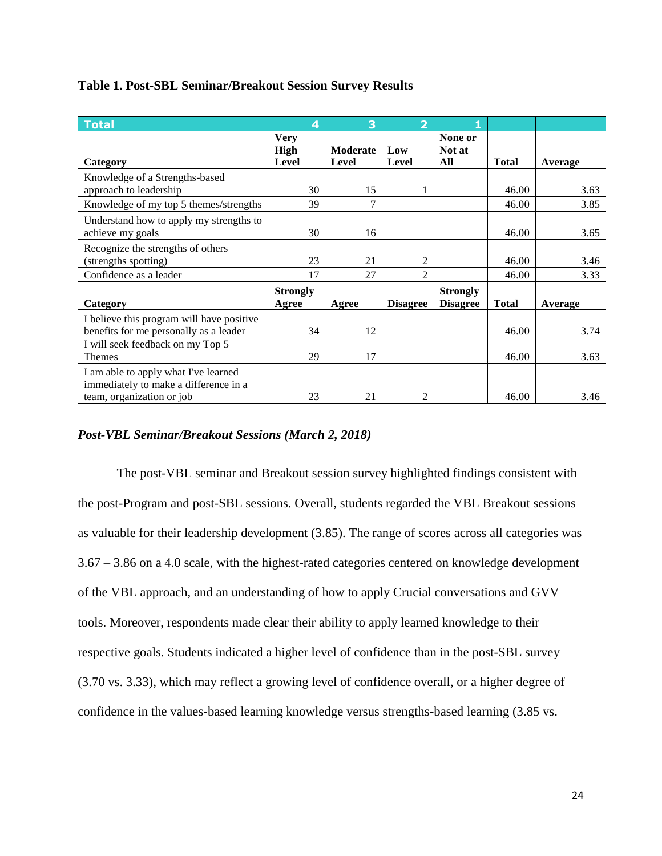| <b>Total</b>                                                                                               | 4                                   | 3                               | $\overline{\mathbf{2}}$ |                                    |              |         |
|------------------------------------------------------------------------------------------------------------|-------------------------------------|---------------------------------|-------------------------|------------------------------------|--------------|---------|
| Category                                                                                                   | <b>Very</b><br>High<br><b>Level</b> | <b>Moderate</b><br><b>Level</b> | Low<br>Level            | None or<br>Not at<br>All           | <b>Total</b> | Average |
| Knowledge of a Strengths-based<br>approach to leadership                                                   | 30                                  | 15                              |                         |                                    | 46.00        | 3.63    |
| Knowledge of my top 5 themes/strengths                                                                     | 39                                  | 7                               |                         |                                    | 46.00        | 3.85    |
| Understand how to apply my strengths to<br>achieve my goals                                                | 30                                  | 16                              |                         |                                    | 46.00        | 3.65    |
| Recognize the strengths of others<br>(strengths spotting)                                                  | 23                                  | 21                              | $\overline{c}$          |                                    | 46.00        | 3.46    |
| Confidence as a leader                                                                                     | 17                                  | 27                              | $\mathfrak{D}$          |                                    | 46.00        | 3.33    |
| Category                                                                                                   | <b>Strongly</b><br>Agree            | Agree                           | <b>Disagree</b>         | <b>Strongly</b><br><b>Disagree</b> | <b>Total</b> | Average |
| I believe this program will have positive<br>benefits for me personally as a leader                        | 34                                  | 12                              |                         |                                    | 46.00        | 3.74    |
| I will seek feedback on my Top 5<br><b>Themes</b>                                                          | 29                                  | 17                              |                         |                                    | 46.00        | 3.63    |
| I am able to apply what I've learned<br>immediately to make a difference in a<br>team, organization or job | 23                                  | 21                              | 2                       |                                    | 46.00        | 3.46    |

# **Table 1. Post-SBL Seminar/Breakout Session Survey Results**

# *Post-VBL Seminar/Breakout Sessions (March 2, 2018)*

The post-VBL seminar and Breakout session survey highlighted findings consistent with the post-Program and post-SBL sessions. Overall, students regarded the VBL Breakout sessions as valuable for their leadership development (3.85). The range of scores across all categories was 3.67 – 3.86 on a 4.0 scale, with the highest-rated categories centered on knowledge development of the VBL approach, and an understanding of how to apply Crucial conversations and GVV tools. Moreover, respondents made clear their ability to apply learned knowledge to their respective goals. Students indicated a higher level of confidence than in the post-SBL survey (3.70 vs. 3.33), which may reflect a growing level of confidence overall, or a higher degree of confidence in the values-based learning knowledge versus strengths-based learning (3.85 vs.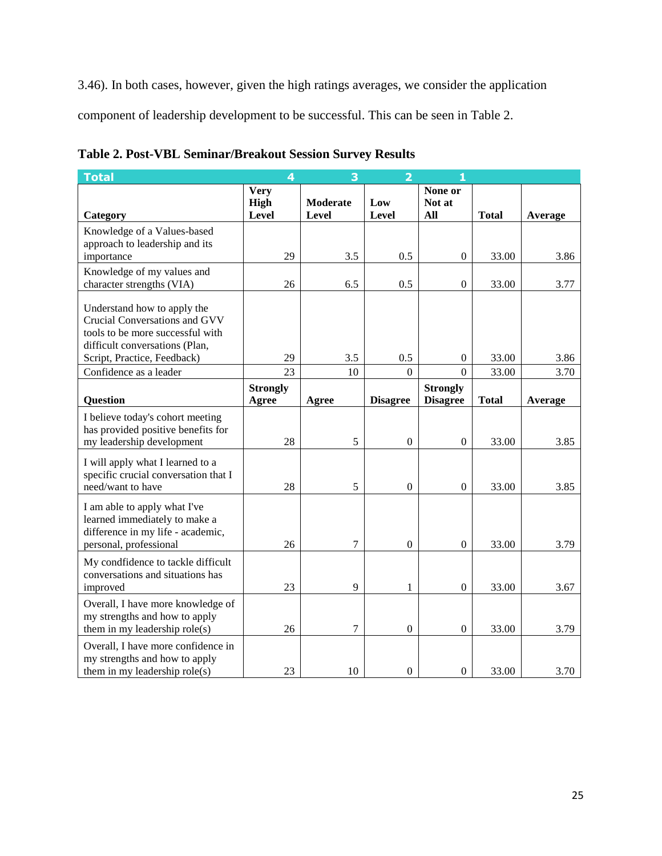3.46). In both cases, however, given the high ratings averages, we consider the application

component of leadership development to be successful. This can be seen in Table 2.

| <b>Total</b>                                                                                                                                                      | 4                                   |                          | フ                |                          |              |         |
|-------------------------------------------------------------------------------------------------------------------------------------------------------------------|-------------------------------------|--------------------------|------------------|--------------------------|--------------|---------|
| Category                                                                                                                                                          | <b>Very</b><br><b>High</b><br>Level | <b>Moderate</b><br>Level | Low<br>Level     | None or<br>Not at<br>All | <b>Total</b> | Average |
| Knowledge of a Values-based                                                                                                                                       |                                     |                          |                  |                          |              |         |
| approach to leadership and its                                                                                                                                    |                                     |                          |                  |                          |              |         |
| importance                                                                                                                                                        | 29                                  | 3.5                      | 0.5              | $\boldsymbol{0}$         | 33.00        | 3.86    |
| Knowledge of my values and                                                                                                                                        |                                     |                          |                  |                          |              |         |
| character strengths (VIA)                                                                                                                                         | 26                                  | 6.5                      | 0.5              | $\boldsymbol{0}$         | 33.00        | 3.77    |
| Understand how to apply the<br>Crucial Conversations and GVV<br>tools to be more successful with<br>difficult conversations (Plan,<br>Script, Practice, Feedback) | 29                                  | 3.5                      | 0.5              | 0                        | 33.00        | 3.86    |
| Confidence as a leader                                                                                                                                            | 23                                  | 10                       | $\theta$         | $\theta$                 | 33.00        | 3.70    |
|                                                                                                                                                                   | <b>Strongly</b>                     |                          |                  | <b>Strongly</b>          |              |         |
| <b>Question</b>                                                                                                                                                   | Agree                               | Agree                    | <b>Disagree</b>  | <b>Disagree</b>          | <b>Total</b> | Average |
| I believe today's cohort meeting<br>has provided positive benefits for<br>my leadership development                                                               | 28                                  | 5                        | $\boldsymbol{0}$ | $\boldsymbol{0}$         | 33.00        | 3.85    |
| I will apply what I learned to a<br>specific crucial conversation that I<br>need/want to have                                                                     | 28                                  | 5                        | $\boldsymbol{0}$ | $\boldsymbol{0}$         | 33.00        | 3.85    |
| I am able to apply what I've<br>learned immediately to make a<br>difference in my life - academic,<br>personal, professional                                      | 26                                  | 7                        | $\mathbf{0}$     | $\mathbf{0}$             | 33.00        | 3.79    |
| My condfidence to tackle difficult<br>conversations and situations has<br>improved                                                                                | 23                                  | 9                        | 1                | $\theta$                 | 33.00        | 3.67    |
| Overall, I have more knowledge of<br>my strengths and how to apply<br>them in my leadership role(s)                                                               | 26                                  | 7                        | $\boldsymbol{0}$ | $\Omega$                 | 33.00        | 3.79    |
| Overall, I have more confidence in<br>my strengths and how to apply<br>them in my leadership role(s)                                                              | 23                                  | 10                       | $\Omega$         | $\Omega$                 | 33.00        | 3.70    |

**Table 2. Post-VBL Seminar/Breakout Session Survey Results**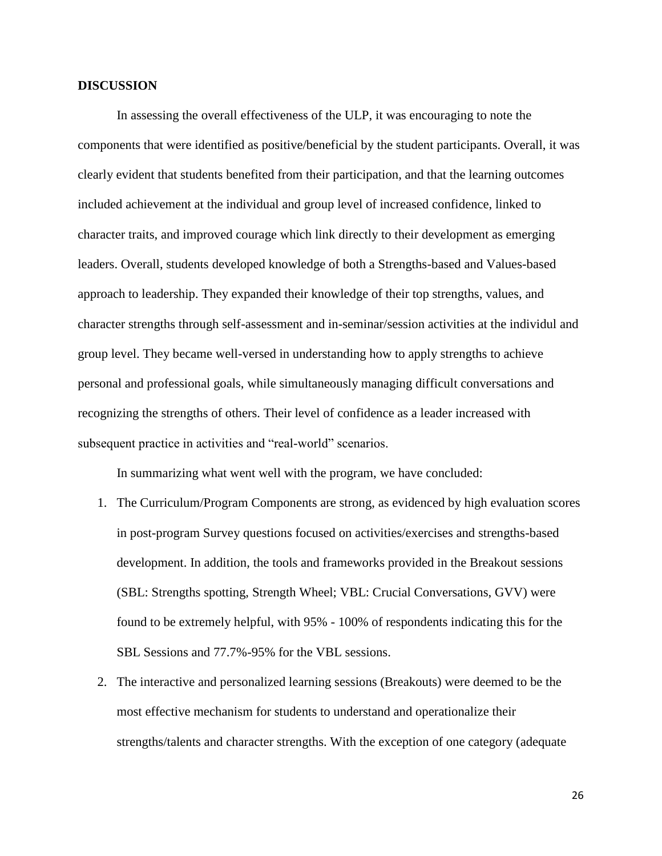# **DISCUSSION**

In assessing the overall effectiveness of the ULP, it was encouraging to note the components that were identified as positive/beneficial by the student participants. Overall, it was clearly evident that students benefited from their participation, and that the learning outcomes included achievement at the individual and group level of increased confidence, linked to character traits, and improved courage which link directly to their development as emerging leaders. Overall, students developed knowledge of both a Strengths-based and Values-based approach to leadership. They expanded their knowledge of their top strengths, values, and character strengths through self-assessment and in-seminar/session activities at the individul and group level. They became well-versed in understanding how to apply strengths to achieve personal and professional goals, while simultaneously managing difficult conversations and recognizing the strengths of others. Their level of confidence as a leader increased with subsequent practice in activities and "real-world" scenarios.

In summarizing what went well with the program, we have concluded:

- 1. The Curriculum/Program Components are strong, as evidenced by high evaluation scores in post-program Survey questions focused on activities/exercises and strengths-based development. In addition, the tools and frameworks provided in the Breakout sessions (SBL: Strengths spotting, Strength Wheel; VBL: Crucial Conversations, GVV) were found to be extremely helpful, with 95% - 100% of respondents indicating this for the SBL Sessions and 77.7%-95% for the VBL sessions.
- 2. The interactive and personalized learning sessions (Breakouts) were deemed to be the most effective mechanism for students to understand and operationalize their strengths/talents and character strengths. With the exception of one category (adequate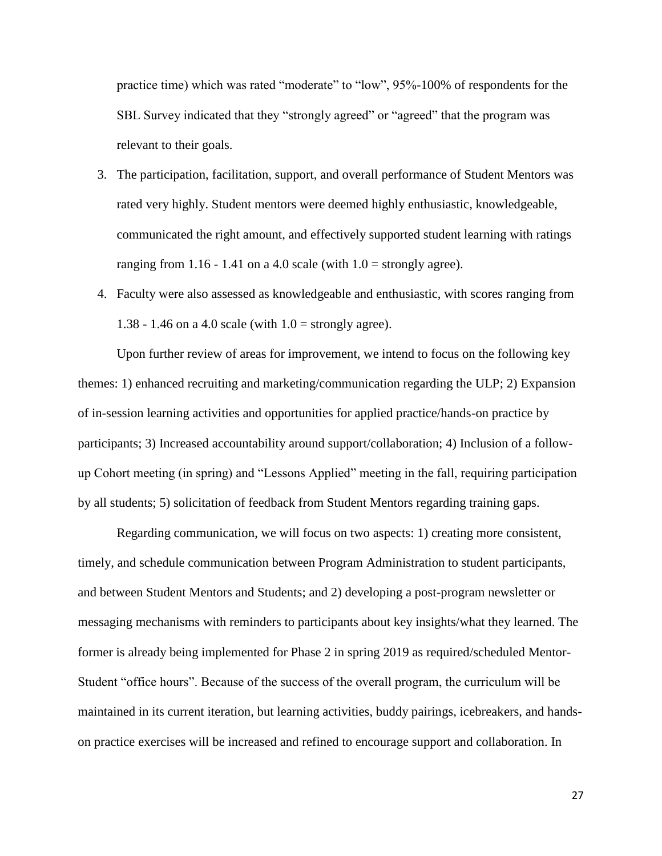practice time) which was rated "moderate" to "low", 95%-100% of respondents for the SBL Survey indicated that they "strongly agreed" or "agreed" that the program was relevant to their goals.

- 3. The participation, facilitation, support, and overall performance of Student Mentors was rated very highly. Student mentors were deemed highly enthusiastic, knowledgeable, communicated the right amount, and effectively supported student learning with ratings ranging from 1.16 - 1.41 on a 4.0 scale (with  $1.0 =$  strongly agree).
- 4. Faculty were also assessed as knowledgeable and enthusiastic, with scores ranging from 1.38 - 1.46 on a 4.0 scale (with  $1.0$  = strongly agree).

Upon further review of areas for improvement, we intend to focus on the following key themes: 1) enhanced recruiting and marketing/communication regarding the ULP; 2) Expansion of in-session learning activities and opportunities for applied practice/hands-on practice by participants; 3) Increased accountability around support/collaboration; 4) Inclusion of a followup Cohort meeting (in spring) and "Lessons Applied" meeting in the fall, requiring participation by all students; 5) solicitation of feedback from Student Mentors regarding training gaps.

Regarding communication, we will focus on two aspects: 1) creating more consistent, timely, and schedule communication between Program Administration to student participants, and between Student Mentors and Students; and 2) developing a post-program newsletter or messaging mechanisms with reminders to participants about key insights/what they learned. The former is already being implemented for Phase 2 in spring 2019 as required/scheduled Mentor-Student "office hours". Because of the success of the overall program, the curriculum will be maintained in its current iteration, but learning activities, buddy pairings, icebreakers, and handson practice exercises will be increased and refined to encourage support and collaboration. In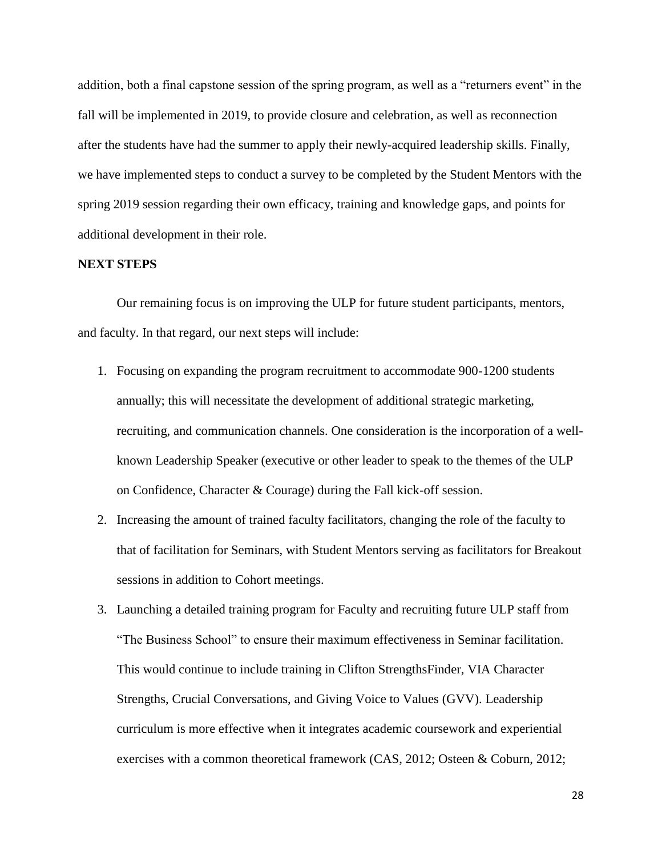addition, both a final capstone session of the spring program, as well as a "returners event" in the fall will be implemented in 2019, to provide closure and celebration, as well as reconnection after the students have had the summer to apply their newly-acquired leadership skills. Finally, we have implemented steps to conduct a survey to be completed by the Student Mentors with the spring 2019 session regarding their own efficacy, training and knowledge gaps, and points for additional development in their role.

#### **NEXT STEPS**

Our remaining focus is on improving the ULP for future student participants, mentors, and faculty. In that regard, our next steps will include:

- 1. Focusing on expanding the program recruitment to accommodate 900-1200 students annually; this will necessitate the development of additional strategic marketing, recruiting, and communication channels. One consideration is the incorporation of a wellknown Leadership Speaker (executive or other leader to speak to the themes of the ULP on Confidence, Character & Courage) during the Fall kick-off session.
- 2. Increasing the amount of trained faculty facilitators, changing the role of the faculty to that of facilitation for Seminars, with Student Mentors serving as facilitators for Breakout sessions in addition to Cohort meetings.
- 3. Launching a detailed training program for Faculty and recruiting future ULP staff from "The Business School" to ensure their maximum effectiveness in Seminar facilitation. This would continue to include training in Clifton StrengthsFinder, VIA Character Strengths, Crucial Conversations, and Giving Voice to Values (GVV). Leadership curriculum is more effective when it integrates academic coursework and experiential exercises with a common theoretical framework (CAS, 2012; Osteen & Coburn, 2012;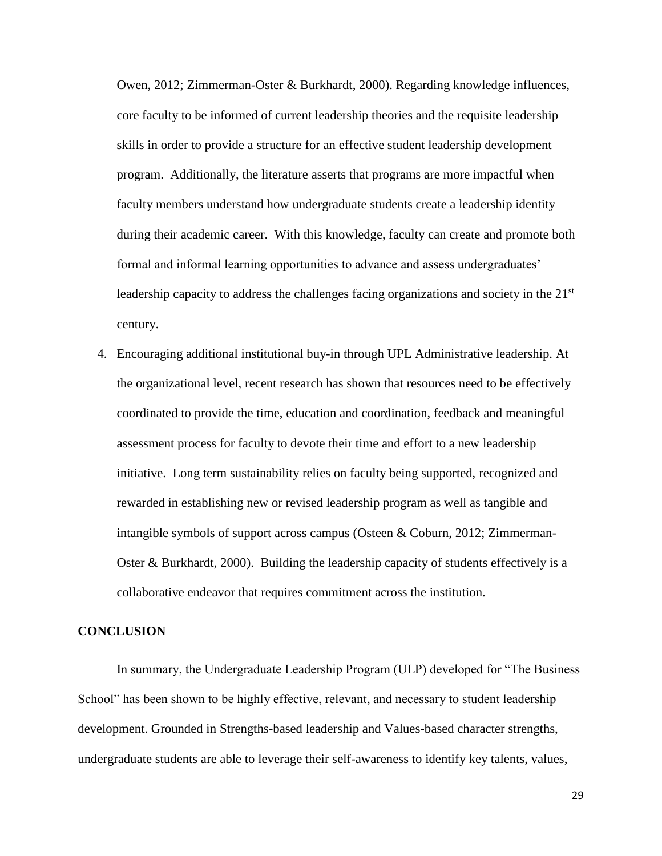Owen, 2012; Zimmerman-Oster & Burkhardt, 2000). Regarding knowledge influences, core faculty to be informed of current leadership theories and the requisite leadership skills in order to provide a structure for an effective student leadership development program. Additionally, the literature asserts that programs are more impactful when faculty members understand how undergraduate students create a leadership identity during their academic career. With this knowledge, faculty can create and promote both formal and informal learning opportunities to advance and assess undergraduates' leadership capacity to address the challenges facing organizations and society in the  $21<sup>st</sup>$ century.

4. Encouraging additional institutional buy-in through UPL Administrative leadership. At the organizational level, recent research has shown that resources need to be effectively coordinated to provide the time, education and coordination, feedback and meaningful assessment process for faculty to devote their time and effort to a new leadership initiative. Long term sustainability relies on faculty being supported, recognized and rewarded in establishing new or revised leadership program as well as tangible and intangible symbols of support across campus (Osteen & Coburn, 2012; Zimmerman-Oster & Burkhardt, 2000). Building the leadership capacity of students effectively is a collaborative endeavor that requires commitment across the institution.

# **CONCLUSION**

In summary, the Undergraduate Leadership Program (ULP) developed for "The Business School" has been shown to be highly effective, relevant, and necessary to student leadership development. Grounded in Strengths-based leadership and Values-based character strengths, undergraduate students are able to leverage their self-awareness to identify key talents, values,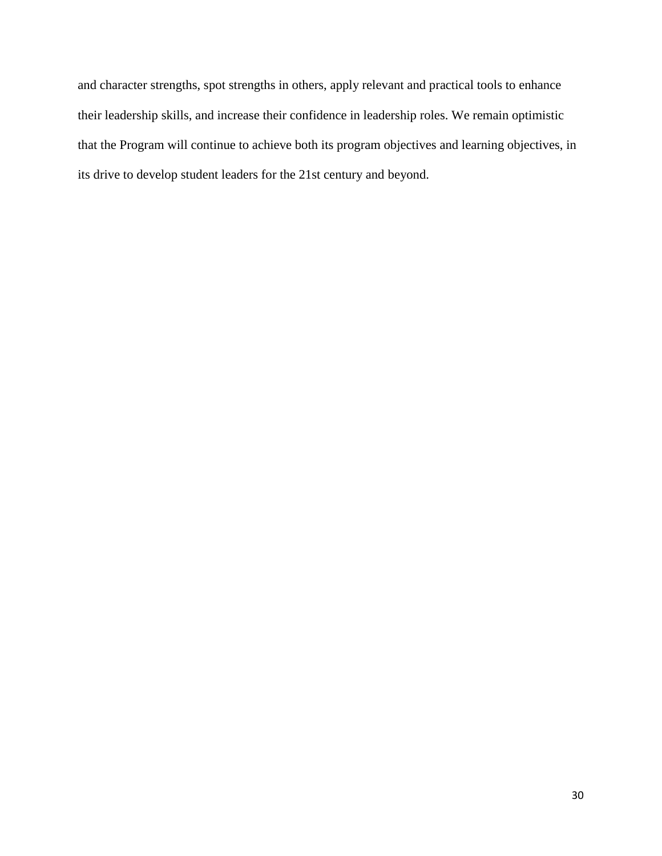and character strengths, spot strengths in others, apply relevant and practical tools to enhance their leadership skills, and increase their confidence in leadership roles. We remain optimistic that the Program will continue to achieve both its program objectives and learning objectives, in its drive to develop student leaders for the 21st century and beyond.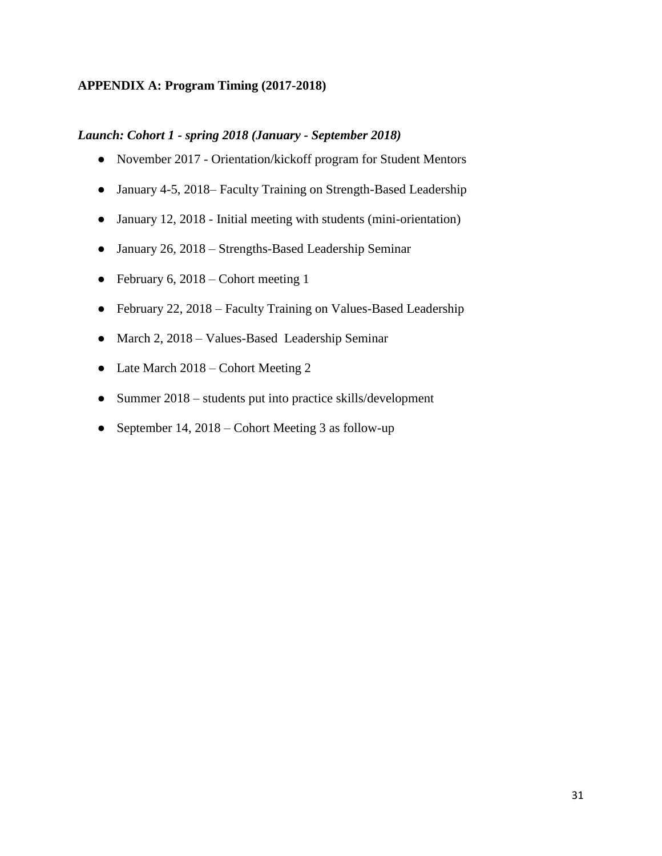# **APPENDIX A: Program Timing (2017-2018)**

# *Launch: Cohort 1 - spring 2018 (January - September 2018)*

- November 2017 Orientation/kickoff program for Student Mentors
- January 4-5, 2018– Faculty Training on Strength-Based Leadership
- January 12, 2018 Initial meeting with students (mini-orientation)
- January 26, 2018 Strengths-Based Leadership Seminar
- February 6, 2018 Cohort meeting 1
- February 22, 2018 Faculty Training on Values-Based Leadership
- March 2, 2018 Values-Based Leadership Seminar
- Late March 2018 Cohort Meeting 2
- Summer 2018 students put into practice skills/development
- September 14, 2018 Cohort Meeting 3 as follow-up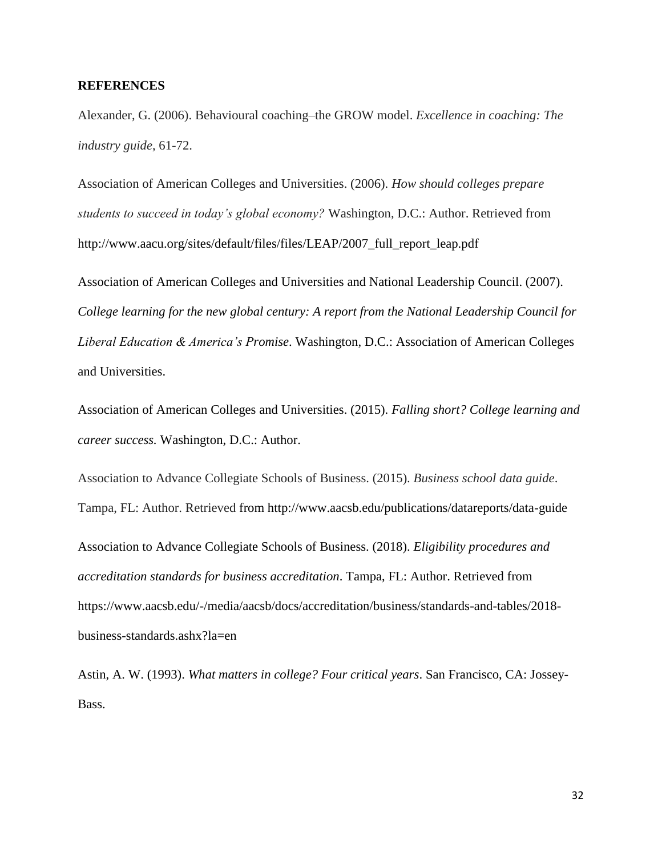# **REFERENCES**

Alexander, G. (2006). Behavioural coaching–the GROW model. *Excellence in coaching: The industry guide*, 61-72.

Association of American Colleges and Universities. (2006). *How should colleges prepare students to succeed in today's global economy?* Washington, D.C.: Author. Retrieved from http://www.aacu.org/sites/default/files/files/LEAP/2007\_full\_report\_leap.pdf

Association of American Colleges and Universities and National Leadership Council. (2007). *College learning for the new global century: A report from the National Leadership Council for Liberal Education & America's Promise*. Washington, D.C.: Association of American Colleges and Universities.

Association of American Colleges and Universities. (2015). *Falling short? College learning and career success.* Washington, D.C.: Author.

Association to Advance Collegiate Schools of Business. (2015). *Business school data guide*. Tampa, FL: Author. Retrieved from http://www.aacsb.edu/publications/datareports/data-guide Association to Advance Collegiate Schools of Business. (2018). *Eligibility procedures and accreditation standards for business accreditation*. Tampa, FL: Author. Retrieved from https://www.aacsb.edu/-/media/aacsb/docs/accreditation/business/standards-and-tables/2018 business-standards.ashx?la=en

Astin, A. W. (1993). *What matters in college? Four critical years*. San Francisco, CA: Jossey-Bass.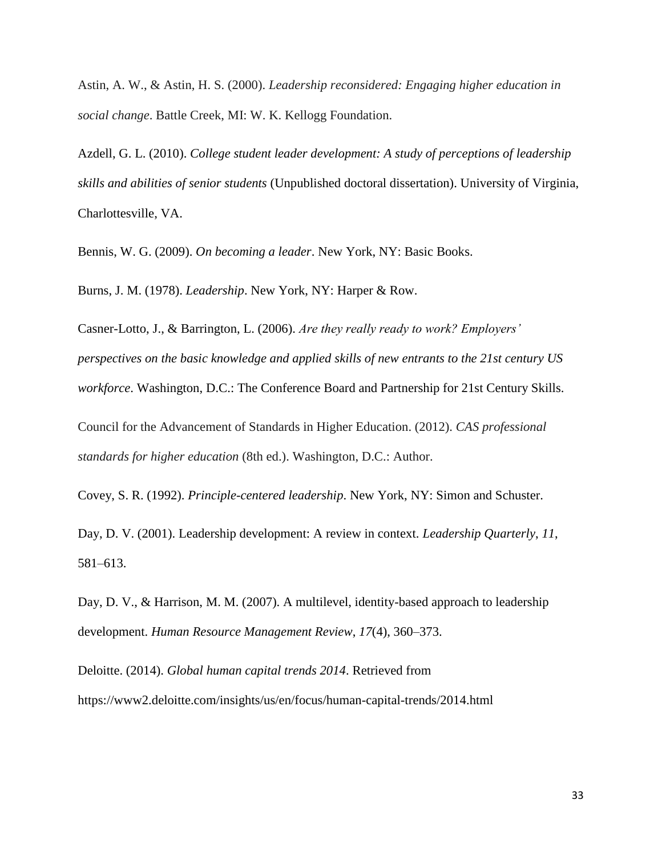Astin, A. W., & Astin, H. S. (2000). *Leadership reconsidered: Engaging higher education in social change*. Battle Creek, MI: W. K. Kellogg Foundation.

Azdell, G. L. (2010). *College student leader development: A study of perceptions of leadership skills and abilities of senior students* (Unpublished doctoral dissertation). University of Virginia, Charlottesville, VA.

Bennis, W. G. (2009). *On becoming a leader*. New York, NY: Basic Books.

Burns, J. M. (1978). *Leadership*. New York, NY: Harper & Row.

Casner-Lotto, J., & Barrington, L. (2006). *Are they really ready to work? Employers' perspectives on the basic knowledge and applied skills of new entrants to the 21st century US workforce*. Washington, D.C.: The Conference Board and Partnership for 21st Century Skills.

Council for the Advancement of Standards in Higher Education. (2012). *CAS professional standards for higher education* (8th ed.). Washington, D.C.: Author.

Covey, S. R. (1992). *Principle-centered leadership*. New York, NY: Simon and Schuster.

Day, D. V. (2001). Leadership development: A review in context. *Leadership Quarterly*, *11*, 581–613.

Day, D. V., & Harrison, M. M. (2007). A multilevel, identity-based approach to leadership development. *Human Resource Management Review*, *17*(4), 360–373.

Deloitte. (2014). *Global human capital trends 2014*. Retrieved from https://www2.deloitte.com/insights/us/en/focus/human-capital-trends/2014.html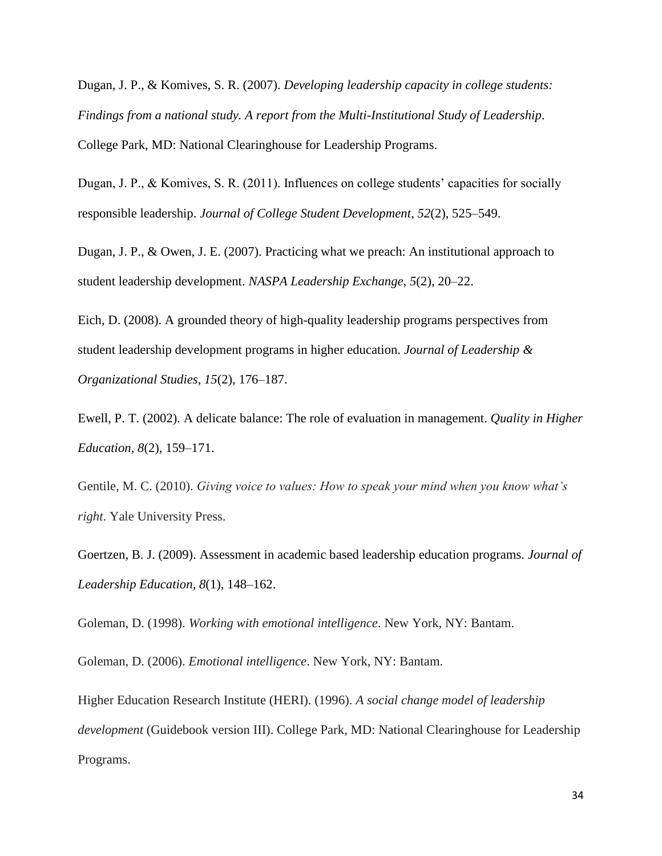Dugan, J. P., & Komives, S. R. (2007). *Developing leadership capacity in college students: Findings from a national study. A report from the Multi-Institutional Study of Leadership*. College Park, MD: National Clearinghouse for Leadership Programs.

Dugan, J. P., & Komives, S. R. (2011). Influences on college students' capacities for socially responsible leadership. *Journal of College Student Development*, *52*(2), 525–549.

Dugan, J. P., & Owen, J. E. (2007). Practicing what we preach: An institutional approach to student leadership development. *NASPA Leadership Exchange*, *5*(2), 20–22.

Eich, D. (2008). A grounded theory of high-quality leadership programs perspectives from student leadership development programs in higher education. *Journal of Leadership & Organizational Studies*, *15*(2), 176–187.

Ewell, P. T. (2002). A delicate balance: The role of evaluation in management. *Quality in Higher Education*, *8*(2), 159–171.

Gentile, M. C. (2010). *Giving voice to values: How to speak your mind when you know what's right*. Yale University Press.

Goertzen, B. J. (2009). Assessment in academic based leadership education programs. *Journal of Leadership Education*, *8*(1), 148–162.

Goleman, D. (1998). *Working with emotional intelligence*. New York, NY: Bantam.

Goleman, D. (2006). *Emotional intelligence*. New York, NY: Bantam.

Higher Education Research Institute (HERI). (1996). *A social change model of leadership development* (Guidebook version III). College Park, MD: National Clearinghouse for Leadership Programs.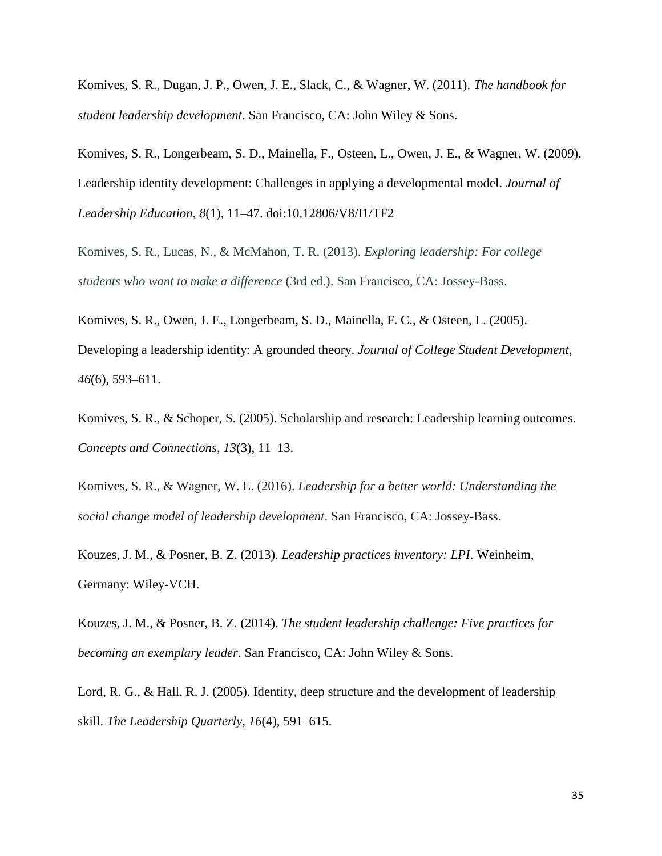Komives, S. R., Dugan, J. P., Owen, J. E., Slack, C., & Wagner, W. (2011). *The handbook for student leadership development*. San Francisco, CA: John Wiley & Sons.

Komives, S. R., Longerbeam, S. D., Mainella, F., Osteen, L., Owen, J. E., & Wagner, W. (2009). Leadership identity development: Challenges in applying a developmental model. *Journal of Leadership Education*, *8*(1), 11–47. doi:10.12806/V8/I1/TF2

Komives, S. R., Lucas, N., & McMahon, T. R. (2013). *Exploring leadership: For college students who want to make a difference* (3rd ed.). San Francisco, CA: Jossey-Bass.

Komives, S. R., Owen, J. E., Longerbeam, S. D., Mainella, F. C., & Osteen, L. (2005). Developing a leadership identity: A grounded theory. *Journal of College Student Development*, *46*(6), 593–611.

Komives, S. R., & Schoper, S. (2005). Scholarship and research: Leadership learning outcomes. *Concepts and Connections*, *13*(3), 11–13.

Komives, S. R., & Wagner, W. E. (2016). *Leadership for a better world: Understanding the social change model of leadership development*. San Francisco, CA: Jossey-Bass.

Kouzes, J. M., & Posner, B. Z. (2013). *Leadership practices inventory: LPI*. Weinheim, Germany: Wiley-VCH.

Kouzes, J. M., & Posner, B. Z. (2014). *The student leadership challenge: Five practices for becoming an exemplary leader*. San Francisco, CA: John Wiley & Sons.

Lord, R. G., & Hall, R. J. (2005). Identity, deep structure and the development of leadership skill. *The Leadership Quarterly*, *16*(4), 591–615.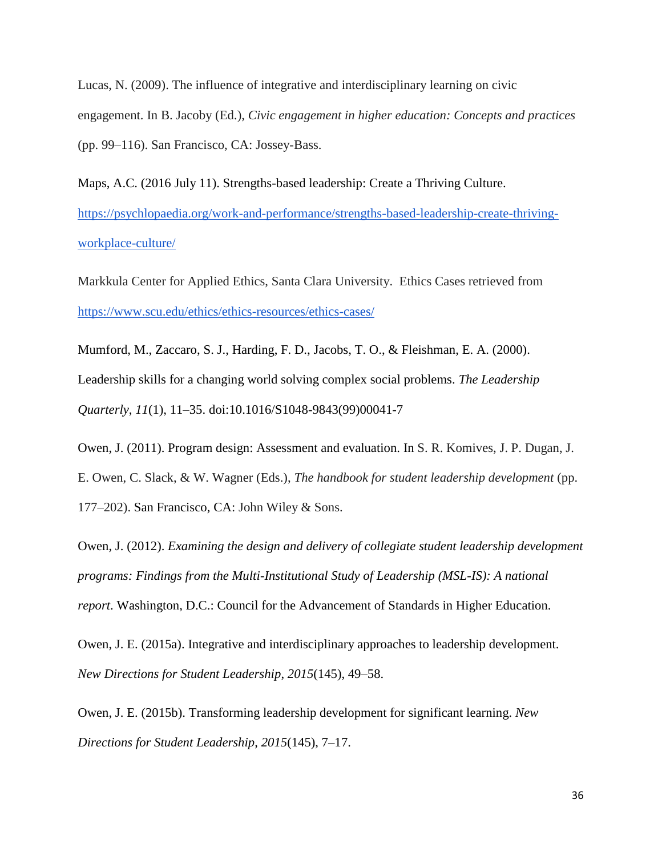Lucas, N. (2009). The influence of integrative and interdisciplinary learning on civic engagement. In B. Jacoby (Ed.), *Civic engagement in higher education: Concepts and practices* (pp. 99–116). San Francisco, CA: Jossey-Bass.

Maps, A.C. (2016 July 11). Strengths-based leadership: Create a Thriving Culture. [https://psychlopaedia.org/work-and-performance/strengths-based-leadership-create-thriving](https://psychlopaedia.org/work-and-performance/strengths-based-leadership-create-thriving-workplace-culture/)[workplace-culture/](https://psychlopaedia.org/work-and-performance/strengths-based-leadership-create-thriving-workplace-culture/) 

Markkula Center for Applied Ethics, Santa Clara University. Ethics Cases retrieved from <https://www.scu.edu/ethics/ethics-resources/ethics-cases/>

Mumford, M., Zaccaro, S. J., Harding, F. D., Jacobs, T. O., & Fleishman, E. A. (2000). Leadership skills for a changing world solving complex social problems. *The Leadership Quarterly*, *11*(1), 11–35. doi:10.1016/S1048-9843(99)00041-7

Owen, J. (2011). Program design: Assessment and evaluation. In S. R. Komives, J. P. Dugan, J. E. Owen, C. Slack, & W. Wagner (Eds.), *The handbook for student leadership development* (pp. 177–202). San Francisco, CA: John Wiley & Sons.

Owen, J. (2012). *Examining the design and delivery of collegiate student leadership development programs: Findings from the Multi-Institutional Study of Leadership (MSL-IS): A national report*. Washington, D.C.: Council for the Advancement of Standards in Higher Education.

Owen, J. E. (2015a). Integrative and interdisciplinary approaches to leadership development. *New Directions for Student Leadership*, *2015*(145), 49–58.

Owen, J. E. (2015b). Transforming leadership development for significant learning. *New Directions for Student Leadership*, *2015*(145), 7–17.